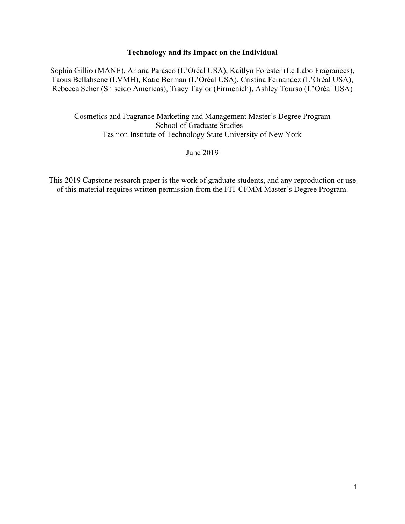## **Technology and its Impact on the Individual**

Sophia Gillio (MANE), Ariana Parasco (L'Oréal USA), Kaitlyn Forester (Le Labo Fragrances), Taous Bellahsene (LVMH), Katie Berman (L'Oréal USA), Cristina Fernandez (L'Oréal USA), Rebecca Scher (Shiseido Americas), Tracy Taylor (Firmenich), Ashley Tourso (L'Oréal USA)

Cosmetics and Fragrance Marketing and Management Master's Degree Program School of Graduate Studies Fashion Institute of Technology State University of New York

June 2019

This 2019 Capstone research paper is the work of graduate students, and any reproduction or use of this material requires written permission from the FIT CFMM Master's Degree Program.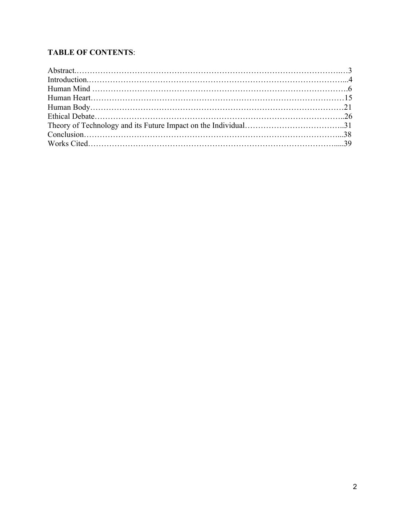# **TABLE OF CONTENTS**: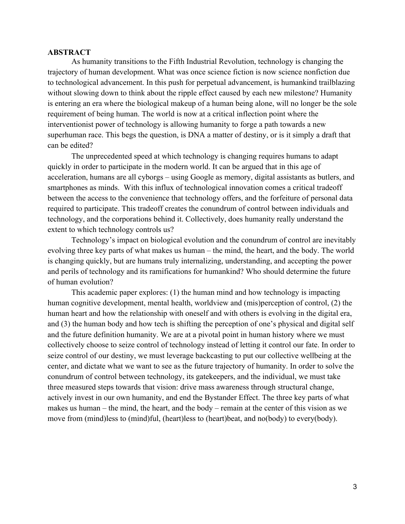#### **ABSTRACT**

As humanity transitions to the Fifth Industrial Revolution, technology is changing the trajectory of human development. What was once science fiction is now science nonfiction due to technological advancement. In this push for perpetual advancement, is humankind trailblazing without slowing down to think about the ripple effect caused by each new milestone? Humanity is entering an era where the biological makeup of a human being alone, will no longer be the sole requirement of being human. The world is now at a critical inflection point where the interventionist power of technology is allowing humanity to forge a path towards a new superhuman race. This begs the question, is DNA a matter of destiny, or is it simply a draft that can be edited?

The unprecedented speed at which technology is changing requires humans to adapt quickly in order to participate in the modern world. It can be argued that in this age of acceleration, humans are all cyborgs – using Google as memory, digital assistants as butlers, and smartphones as minds. With this influx of technological innovation comes a critical tradeoff between the access to the convenience that technology offers, and the forfeiture of personal data required to participate. This tradeoff creates the conundrum of control between individuals and technology, and the corporations behind it. Collectively, does humanity really understand the extent to which technology controls us?

Technology's impact on biological evolution and the conundrum of control are inevitably evolving three key parts of what makes us human – the mind, the heart, and the body. The world is changing quickly, but are humans truly internalizing, understanding, and accepting the power and perils of technology and its ramifications for humankind? Who should determine the future of human evolution?

This academic paper explores: (1) the human mind and how technology is impacting human cognitive development, mental health, worldview and (mis)perception of control, (2) the human heart and how the relationship with oneself and with others is evolving in the digital era, and (3) the human body and how tech is shifting the perception of one's physical and digital self and the future definition humanity. We are at a pivotal point in human history where we must collectively choose to seize control of technology instead of letting it control our fate. In order to seize control of our destiny, we must leverage backcasting to put our collective wellbeing at the center, and dictate what we want to see as the future trajectory of humanity. In order to solve the conundrum of control between technology, its gatekeepers, and the individual, we must take three measured steps towards that vision: drive mass awareness through structural change, actively invest in our own humanity, and end the Bystander Effect. The three key parts of what makes us human – the mind, the heart, and the body – remain at the center of this vision as we move from (mind)less to (mind)ful, (heart)less to (heart)beat, and no(body) to every(body).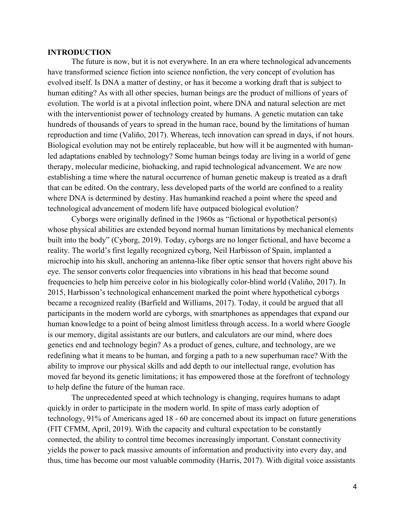#### **INTRODUCTION**

The future is now, but it is not everywhere. In an era where technological advancements have transformed science fiction into science nonfiction, the very concept of evolution has evolved itself. Is DNA a matter of destiny, or has it become a working draft that is subject to human editing? As with all other species, human beings are the product of millions of years of evolution. The world is at a pivotal inflection point, where DNA and natural selection are met with the interventionist power of technology created by humans. A genetic mutation can take hundreds of thousands of years to spread in the human race, bound by the limitations of human reproduction and time (Valiño, 2017). Whereas, tech innovation can spread in days, if not hours. Biological evolution may not be entirely replaceable, but how will it be augmented with humanled adaptations enabled by technology? Some human beings today are living in a world of gene therapy, molecular medicine, biohacking, and rapid technological advancement. We are now establishing a time where the natural occurrence of human genetic makeup is treated as a draft that can be edited. On the contrary, less developed parts of the world are confined to a reality where DNA is determined by destiny. Has humankind reached a point where the speed and technological advancement of modern life have outpaced biological evolution?

Cyborgs were originally defined in the 1960s as "fictional or hypothetical person(s) whose physical abilities are extended beyond normal human limitations by mechanical elements built into the body" (Cyborg, 2019). Today, cyborgs are no longer fictional, and have become a reality. The world's first legally recognized cyborg, Neil Harbisson of Spain, implanted a microchip into his skull, anchoring an antenna-like fiber optic sensor that hovers right above his eye. The sensor converts color frequencies into vibrations in his head that become sound frequencies to help him perceive color in his biologically color-blind world (Valiño, 2017). In 2015, Harbisson's technological enhancement marked the point where hypothetical cyborgs became a recognized reality (Barfield and Williams, 2017). Today, it could be argued that all participants in the modern world are cyborgs, with smartphones as appendages that expand our human knowledge to a point of being almost limitless through access. In a world where Google is our memory, digital assistants are our butlers, and calculators are our mind, where does genetics end and technology begin? As a product of genes, culture, and technology, are we redefining what it means to be human, and forging a path to a new superhuman race? With the ability to improve our physical skills and add depth to our intellectual range, evolution has moved far beyond its genetic limitations; it has empowered those at the forefront of technology to help define the future of the human race.

The unprecedented speed at which technology is changing, requires humans to adapt quickly in order to participate in the modern world. In spite of mass early adoption of technology, 91% of Americans aged 18 - 60 are concerned about its impact on future generations (FIT CFMM, April, 2019). With the capacity and cultural expectation to be constantly connected, the ability to control time becomes increasingly important. Constant connectivity yields the power to pack massive amounts of information and productivity into every day, and thus, time has become our most valuable commodity (Harris, 2017). With digital voice assistants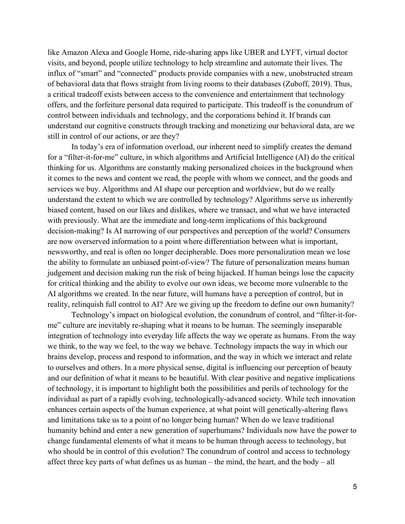like Amazon Alexa and Google Home, ride-sharing apps like UBER and LYFT, virtual doctor visits, and beyond, people utilize technology to help streamline and automate their lives. The influx of "smart" and "connected" products provide companies with a new, unobstructed stream of behavioral data that flows straight from living rooms to their databases (Zuboff, 2019). Thus, a critical tradeoff exists between access to the convenience and entertainment that technology offers, and the forfeiture personal data required to participate. This tradeoff is the conundrum of control between individuals and technology, and the corporations behind it. If brands can understand our cognitive constructs through tracking and monetizing our behavioral data, are we still in control of our actions, or are they?

In today's era of information overload, our inherent need to simplify creates the demand for a "filter-it-for-me" culture, in which algorithms and Artificial Intelligence (AI) do the critical thinking for us. Algorithms are constantly making personalized choices in the background when it comes to the news and content we read, the people with whom we connect, and the goods and services we buy. Algorithms and AI shape our perception and worldview, but do we really understand the extent to which we are controlled by technology? Algorithms serve us inherently biased content, based on our likes and dislikes, where we transact, and what we have interacted with previously. What are the immediate and long-term implications of this background decision-making? Is AI narrowing of our perspectives and perception of the world? Consumers are now overserved information to a point where differentiation between what is important, newsworthy, and real is often no longer decipherable. Does more personalization mean we lose the ability to formulate an unbiased point-of-view? The future of personalization means human judgement and decision making run the risk of being hijacked. If human beings lose the capacity for critical thinking and the ability to evolve our own ideas, we become more vulnerable to the AI algorithms we created. In the near future, will humans have a perception of control, but in reality, relinquish full control to AI? Are we giving up the freedom to define our own humanity?

Technology's impact on biological evolution, the conundrum of control, and "filter-it-forme" culture are inevitably re-shaping what it means to be human. The seemingly inseparable integration of technology into everyday life affects the way we operate as humans. From the way we think, to the way we feel, to the way we behave. Technology impacts the way in which our brains develop, process and respond to information, and the way in which we interact and relate to ourselves and others. In a more physical sense, digital is influencing our perception of beauty and our definition of what it means to be beautiful. With clear positive and negative implications of technology, it is important to highlight both the possibilities and perils of technology for the individual as part of a rapidly evolving, technologically-advanced society. While tech innovation enhances certain aspects of the human experience, at what point will genetically-altering flaws and limitations take us to a point of no longer being human? When do we leave traditional humanity behind and enter a new generation of superhumans? Individuals now have the power to change fundamental elements of what it means to be human through access to technology, but who should be in control of this evolution? The conundrum of control and access to technology affect three key parts of what defines us as human – the mind, the heart, and the body – all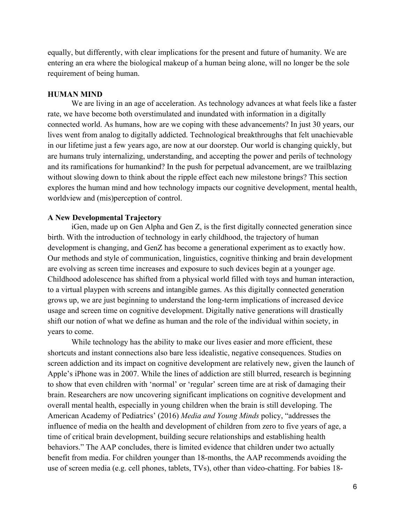equally, but differently, with clear implications for the present and future of humanity. We are entering an era where the biological makeup of a human being alone, will no longer be the sole requirement of being human.

#### **HUMAN MIND**

We are living in an age of acceleration. As technology advances at what feels like a faster rate, we have become both overstimulated and inundated with information in a digitally connected world. As humans, how are we coping with these advancements? In just 30 years, our lives went from analog to digitally addicted. Technological breakthroughs that felt unachievable in our lifetime just a few years ago, are now at our doorstep. Our world is changing quickly, but are humans truly internalizing, understanding, and accepting the power and perils of technology and its ramifications for humankind? In the push for perpetual advancement, are we trailblazing without slowing down to think about the ripple effect each new milestone brings? This section explores the human mind and how technology impacts our cognitive development, mental health, worldview and (mis)perception of control.

#### **A New Developmental Trajectory**

iGen, made up on Gen Alpha and Gen Z, is the first digitally connected generation since birth. With the introduction of technology in early childhood, the trajectory of human development is changing, and GenZ has become a generational experiment as to exactly how. Our methods and style of communication, linguistics, cognitive thinking and brain development are evolving as screen time increases and exposure to such devices begin at a younger age. Childhood adolescence has shifted from a physical world filled with toys and human interaction, to a virtual playpen with screens and intangible games. As this digitally connected generation grows up, we are just beginning to understand the long-term implications of increased device usage and screen time on cognitive development. Digitally native generations will drastically shift our notion of what we define as human and the role of the individual within society, in years to come.

While technology has the ability to make our lives easier and more efficient, these shortcuts and instant connections also bare less idealistic, negative consequences. Studies on screen addiction and its impact on cognitive development are relatively new, given the launch of Apple's iPhone was in 2007. While the lines of addiction are still blurred, research is beginning to show that even children with 'normal' or 'regular' screen time are at risk of damaging their brain. Researchers are now uncovering significant implications on cognitive development and overall mental health, especially in young children when the brain is still developing. The American Academy of Pediatrics' (2016) *Media and Young Minds* policy, "addresses the influence of media on the health and development of children from zero to five years of age, a time of critical brain development, building secure relationships and establishing health behaviors." The AAP concludes, there is limited evidence that children under two actually benefit from media. For children younger than 18-months, the AAP recommends avoiding the use of screen media (e.g. cell phones, tablets, TVs), other than video-chatting. For babies 18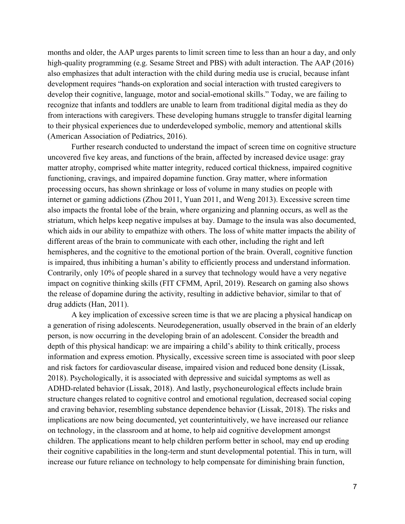months and older, the AAP urges parents to limit screen time to less than an hour a day, and only high-quality programming (e.g. Sesame Street and PBS) with adult interaction. The AAP (2016) also emphasizes that adult interaction with the child during media use is crucial, because infant development requires "hands-on exploration and social interaction with trusted caregivers to develop their cognitive, language, motor and social-emotional skills." Today, we are failing to recognize that infants and toddlers are unable to learn from traditional digital media as they do from interactions with caregivers. These developing humans struggle to transfer digital learning to their physical experiences due to underdeveloped symbolic, memory and attentional skills (American Association of Pediatrics, 2016).

Further research conducted to understand the impact of screen time on cognitive structure uncovered five key areas, and functions of the brain, affected by increased device usage: gray matter atrophy, comprised white matter integrity, reduced cortical thickness, impaired cognitive functioning, cravings, and impaired dopamine function. Gray matter, where information processing occurs, has shown shrinkage or loss of volume in many studies on people with internet or gaming addictions (Zhou 2011, Yuan 2011, and Weng 2013). Excessive screen time also impacts the frontal lobe of the brain, where organizing and planning occurs, as well as the striatum, which helps keep negative impulses at bay. Damage to the insula was also documented, which aids in our ability to empathize with others. The loss of white matter impacts the ability of different areas of the brain to communicate with each other, including the right and left hemispheres, and the cognitive to the emotional portion of the brain. Overall, cognitive function is impaired, thus inhibiting a human's ability to efficiently process and understand information. Contrarily, only 10% of people shared in a survey that technology would have a very negative impact on cognitive thinking skills (FIT CFMM, April, 2019). Research on gaming also shows the release of dopamine during the activity, resulting in addictive behavior, similar to that of drug addicts (Han, 2011).

A key implication of excessive screen time is that we are placing a physical handicap on a generation of rising adolescents. Neurodegeneration, usually observed in the brain of an elderly person, is now occurring in the developing brain of an adolescent. Consider the breadth and depth of this physical handicap: we are impairing a child's ability to think critically, process information and express emotion. Physically, excessive screen time is associated with poor sleep and risk factors for cardiovascular disease, impaired vision and reduced bone density (Lissak, 2018). Psychologically, it is associated with depressive and suicidal symptoms as well as ADHD-related behavior (Lissak, 2018). And lastly, psychoneurological effects include brain structure changes related to cognitive control and emotional regulation, decreased social coping and craving behavior, resembling substance dependence behavior (Lissak, 2018). The risks and implications are now being documented, yet counterintuitively, we have increased our reliance on technology, in the classroom and at home, to help aid cognitive development amongst children. The applications meant to help children perform better in school, may end up eroding their cognitive capabilities in the long-term and stunt developmental potential. This in turn, will increase our future reliance on technology to help compensate for diminishing brain function,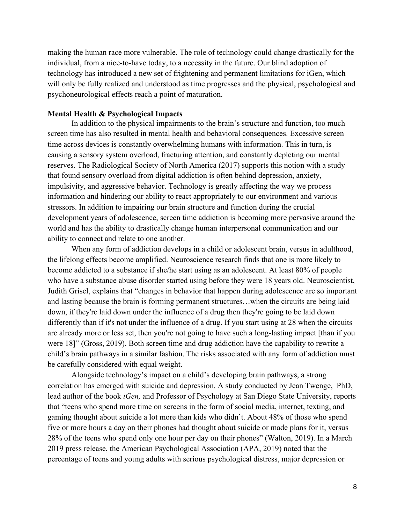making the human race more vulnerable. The role of technology could change drastically for the individual, from a nice-to-have today, to a necessity in the future. Our blind adoption of technology has introduced a new set of frightening and permanent limitations for iGen, which will only be fully realized and understood as time progresses and the physical, psychological and psychoneurological effects reach a point of maturation.

#### **Mental Health & Psychological Impacts**

In addition to the physical impairments to the brain's structure and function, too much screen time has also resulted in mental health and behavioral consequences. Excessive screen time across devices is constantly overwhelming humans with information. This in turn, is causing a sensory system overload, fracturing attention, and constantly depleting our mental reserves. The Radiological Society of North America (2017) supports this notion with a study that found sensory overload from digital addiction is often behind depression, anxiety, impulsivity, and aggressive behavior. Technology is greatly affecting the way we process information and hindering our ability to react appropriately to our environment and various stressors. In addition to impairing our brain structure and function during the crucial development years of adolescence, screen time addiction is becoming more pervasive around the world and has the ability to drastically change human interpersonal communication and our ability to connect and relate to one another.

When any form of addiction develops in a child or adolescent brain, versus in adulthood, the lifelong effects become amplified. Neuroscience research finds that one is more likely to become addicted to a substance if she/he start using as an adolescent. At least 80% of people who have a substance abuse disorder started using before they were 18 years old. Neuroscientist, Judith Grisel, explains that "changes in behavior that happen during adolescence are so important and lasting because the brain is forming permanent structures…when the circuits are being laid down, if they're laid down under the influence of a drug then they're going to be laid down differently than if it's not under the influence of a drug. If you start using at 28 when the circuits are already more or less set, then you're not going to have such a long-lasting impact [than if you were 18]" (Gross, 2019). Both screen time and drug addiction have the capability to rewrite a child's brain pathways in a similar fashion. The risks associated with any form of addiction must be carefully considered with equal weight.

Alongside technology's impact on a child's developing brain pathways, a strong correlation has emerged with suicide and depression. A study conducted by Jean Twenge, PhD, lead author of the book *iGen,* and Professor of Psychology at San Diego State University, reports that "teens who spend more time on screens in the form of social media, internet, texting, and gaming thought about suicide a lot more than kids who didn't. About 48% of those who spend five or more hours a day on their phones had thought about suicide or made plans for it, versus 28% of the teens who spend only one hour per day on their phones" (Walton, 2019). In a March 2019 press release, the American Psychological Association (APA, 2019) noted that the percentage of teens and young adults with serious psychological distress, major depression or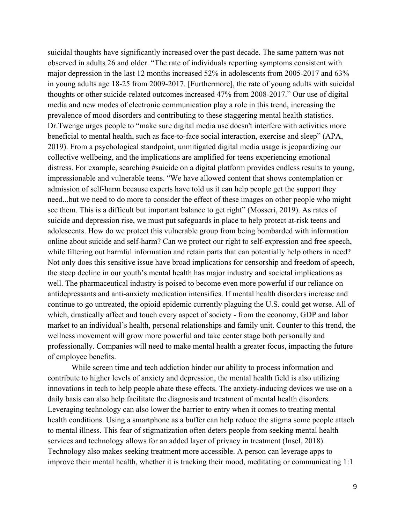suicidal thoughts have significantly increased over the past decade. The same pattern was not observed in adults 26 and older. "The rate of individuals reporting symptoms consistent with major depression in the last 12 months increased 52% in adolescents from 2005-2017 and 63% in young adults age 18-25 from 2009-2017. [Furthermore], the rate of young adults with suicidal thoughts or other suicide-related outcomes increased 47% from 2008-2017." Our use of digital media and new modes of electronic communication play a role in this trend, increasing the prevalence of mood disorders and contributing to these staggering mental health statistics. Dr.Twenge urges people to "make sure digital media use doesn't interfere with activities more beneficial to mental health, such as face-to-face social interaction, exercise and sleep" (APA, 2019). From a psychological standpoint, unmitigated digital media usage is jeopardizing our collective wellbeing, and the implications are amplified for teens experiencing emotional distress. For example, searching #suicide on a digital platform provides endless results to young, impressionable and vulnerable teens. "We have allowed content that shows contemplation or admission of self-harm because experts have told us it can help people get the support they need...but we need to do more to consider the effect of these images on other people who might see them. This is a difficult but important balance to get right" (Mosseri, 2019). As rates of suicide and depression rise, we must put safeguards in place to help protect at-risk teens and adolescents. How do we protect this vulnerable group from being bombarded with information online about suicide and self-harm? Can we protect our right to self-expression and free speech, while filtering out harmful information and retain parts that can potentially help others in need? Not only does this sensitive issue have broad implications for censorship and freedom of speech, the steep decline in our youth's mental health has major industry and societal implications as well. The pharmaceutical industry is poised to become even more powerful if our reliance on antidepressants and anti-anxiety medication intensifies. If mental health disorders increase and continue to go untreated, the opioid epidemic currently plaguing the U.S. could get worse. All of which, drastically affect and touch every aspect of society - from the economy, GDP and labor market to an individual's health, personal relationships and family unit. Counter to this trend, the wellness movement will grow more powerful and take center stage both personally and professionally. Companies will need to make mental health a greater focus, impacting the future of employee benefits.

While screen time and tech addiction hinder our ability to process information and contribute to higher levels of anxiety and depression, the mental health field is also utilizing innovations in tech to help people abate these effects. The anxiety-inducing devices we use on a daily basis can also help facilitate the diagnosis and treatment of mental health disorders. Leveraging technology can also lower the barrier to entry when it comes to treating mental health conditions. Using a smartphone as a buffer can help reduce the stigma some people attach to mental illness. This fear of stigmatization often deters people from seeking mental health services and technology allows for an added layer of privacy in treatment (Insel, 2018). Technology also makes seeking treatment more accessible. A person can leverage apps to improve their mental health, whether it is tracking their mood, meditating or communicating 1:1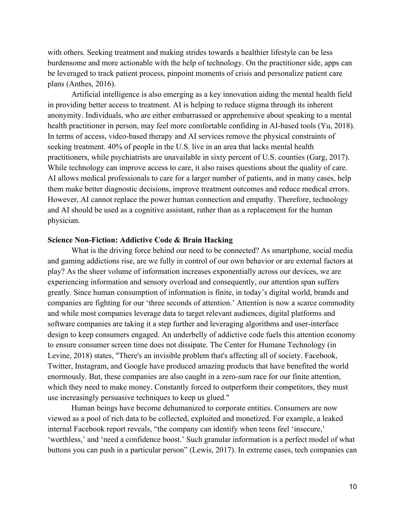with others. Seeking treatment and making strides towards a healthier lifestyle can be less burdensome and more actionable with the help of technology. On the practitioner side, apps can be leveraged to track patient process, pinpoint moments of crisis and personalize patient care plans (Anthes, 2016).

Artificial intelligence is also emerging as a key innovation aiding the mental health field in providing better access to treatment. AI is helping to reduce stigma through its inherent anonymity. Individuals, who are either embarrassed or apprehensive about speaking to a mental health practitioner in person, may feel more comfortable confiding in AI-based tools (Yu, 2018). In terms of access, video-based therapy and AI services remove the physical constraints of seeking treatment. 40% of people in the U.S. live in an area that lacks mental health practitioners, while psychiatrists are unavailable in sixty percent of U.S. counties (Garg, 2017). While technology can improve access to care, it also raises questions about the quality of care. AI allows medical professionals to care for a larger number of patients, and in many cases, help them make better diagnostic decisions, improve treatment outcomes and reduce medical errors. However, AI cannot replace the power human connection and empathy. Therefore, technology and AI should be used as a cognitive assistant, rather than as a replacement for the human physician.

## **Science Non-Fiction: Addictive Code & Brain Hacking**

What is the driving force behind our need to be connected? As smartphone, social media and gaming addictions rise, are we fully in control of our own behavior or are external factors at play? As the sheer volume of information increases exponentially across our devices, we are experiencing information and sensory overload and consequently, our attention span suffers greatly. Since human consumption of information is finite, in today's digital world, brands and companies are fighting for our 'three seconds of attention.' Attention is now a scarce commodity and while most companies leverage data to target relevant audiences, digital platforms and software companies are taking it a step further and leveraging algorithms and user-interface design to keep consumers engaged. An underbelly of addictive code fuels this attention economy to ensure consumer screen time does not dissipate. The Center for Humane Technology (in Levine, 2018) states, "There's an invisible problem that's affecting all of society. Facebook, Twitter, Instagram, and Google have produced amazing products that have benefited the world enormously. But, these companies are also caught in a zero-sum race for our finite attention, which they need to make money. Constantly forced to outperform their competitors, they must use increasingly persuasive techniques to keep us glued."

Human beings have become dehumanized to corporate entities. Consumers are now viewed as a pool of rich data to be collected, exploited and monetized. For example, a leaked internal Facebook report reveals, "the company can identify when teens feel 'insecure,' 'worthless,' and 'need a confidence boost.' Such granular information is a perfect model of what buttons you can push in a particular person" (Lewis, 2017). In extreme cases, tech companies can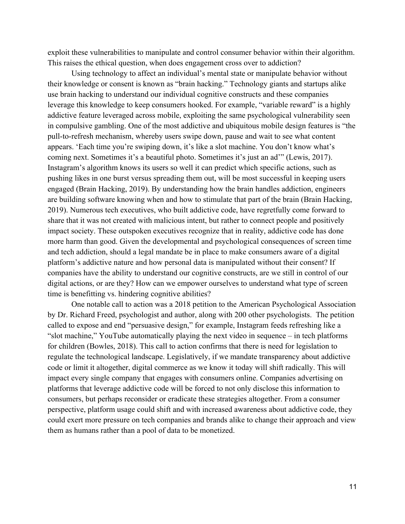exploit these vulnerabilities to manipulate and control consumer behavior within their algorithm. This raises the ethical question, when does engagement cross over to addiction?

Using technology to affect an individual's mental state or manipulate behavior without their knowledge or consent is known as "brain hacking." Technology giants and startups alike use brain hacking to understand our individual cognitive constructs and these companies leverage this knowledge to keep consumers hooked. For example, "variable reward" is a highly addictive feature leveraged across mobile, exploiting the same psychological vulnerability seen in compulsive gambling. One of the most addictive and ubiquitous mobile design features is "the pull-to-refresh mechanism, whereby users swipe down, pause and wait to see what content appears. 'Each time you're swiping down, it's like a slot machine. You don't know what's coming next. Sometimes it's a beautiful photo. Sometimes it's just an ad'" (Lewis, 2017). Instagram's algorithm knows its users so well it can predict which specific actions, such as pushing likes in one burst versus spreading them out, will be most successful in keeping users engaged (Brain Hacking, 2019). By understanding how the brain handles addiction, engineers are building software knowing when and how to stimulate that part of the brain (Brain Hacking, 2019). Numerous tech executives, who built addictive code, have regretfully come forward to share that it was not created with malicious intent, but rather to connect people and positively impact society. These outspoken executives recognize that in reality, addictive code has done more harm than good. Given the developmental and psychological consequences of screen time and tech addiction, should a legal mandate be in place to make consumers aware of a digital platform's addictive nature and how personal data is manipulated without their consent? If companies have the ability to understand our cognitive constructs, are we still in control of our digital actions, or are they? How can we empower ourselves to understand what type of screen time is benefitting vs. hindering cognitive abilities?

One notable call to action was a 2018 petition to the American Psychological Association by Dr. Richard Freed, psychologist and author, along with 200 other psychologists. The petition called to expose and end "persuasive design," for example, Instagram feeds refreshing like a "slot machine," YouTube automatically playing the next video in sequence – in tech platforms for children (Bowles, 2018). This call to action confirms that there is need for legislation to regulate the technological landscape. Legislatively, if we mandate transparency about addictive code or limit it altogether, digital commerce as we know it today will shift radically. This will impact every single company that engages with consumers online. Companies advertising on platforms that leverage addictive code will be forced to not only disclose this information to consumers, but perhaps reconsider or eradicate these strategies altogether. From a consumer perspective, platform usage could shift and with increased awareness about addictive code, they could exert more pressure on tech companies and brands alike to change their approach and view them as humans rather than a pool of data to be monetized.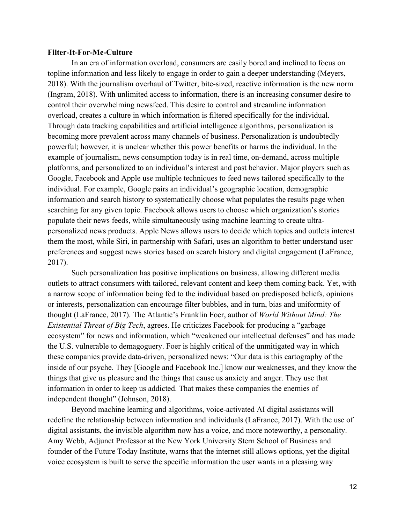#### **Filter-It-For-Me-Culture**

In an era of information overload, consumers are easily bored and inclined to focus on topline information and less likely to engage in order to gain a deeper understanding (Meyers, 2018). With the journalism overhaul of Twitter, bite-sized, reactive information is the new norm (Ingram, 2018). With unlimited access to information, there is an increasing consumer desire to control their overwhelming newsfeed. This desire to control and streamline information overload, creates a culture in which information is filtered specifically for the individual. Through data tracking capabilities and artificial intelligence algorithms, personalization is becoming more prevalent across many channels of business. Personalization is undoubtedly powerful; however, it is unclear whether this power benefits or harms the individual. In the example of journalism, news consumption today is in real time, on-demand, across multiple platforms, and personalized to an individual's interest and past behavior. Major players such as Google, Facebook and Apple use multiple techniques to feed news tailored specifically to the individual. For example, Google pairs an individual's geographic location, demographic information and search history to systematically choose what populates the results page when searching for any given topic. Facebook allows users to choose which organization's stories populate their news feeds, while simultaneously using machine learning to create ultrapersonalized news products. Apple News allows users to decide which topics and outlets interest them the most, while Siri, in partnership with Safari, uses an algorithm to better understand user preferences and suggest news stories based on search history and digital engagement (LaFrance, 2017).

Such personalization has positive implications on business, allowing different media outlets to attract consumers with tailored, relevant content and keep them coming back. Yet, with a narrow scope of information being fed to the individual based on predisposed beliefs, opinions or interests, personalization can encourage filter bubbles, and in turn, bias and uniformity of thought (LaFrance, 2017). The Atlantic's Franklin Foer, author of *World Without Mind: The Existential Threat of Big Tech*, agrees. He criticizes Facebook for producing a "garbage ecosystem" for news and information, which "weakened our intellectual defenses" and has made the U.S. vulnerable to demagoguery. Foer is highly critical of the unmitigated way in which these companies provide data-driven, personalized news: "Our data is this cartography of the inside of our psyche. They [Google and Facebook Inc.] know our weaknesses, and they know the things that give us pleasure and the things that cause us anxiety and anger. They use that information in order to keep us addicted. That makes these companies the enemies of independent thought" (Johnson, 2018).

Beyond machine learning and algorithms, voice-activated AI digital assistants will redefine the relationship between information and individuals (LaFrance, 2017). With the use of digital assistants, the invisible algorithm now has a voice, and more noteworthy, a personality. Amy Webb, Adjunct Professor at the New York University Stern School of Business and founder of the Future Today Institute, warns that the internet still allows options, yet the digital voice ecosystem is built to serve the specific information the user wants in a pleasing way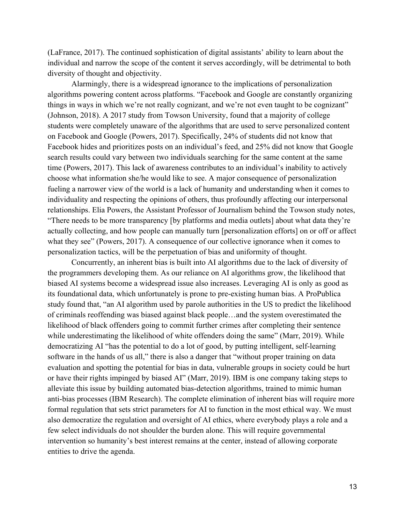(LaFrance, 2017). The continued sophistication of digital assistants' ability to learn about the individual and narrow the scope of the content it serves accordingly, will be detrimental to both diversity of thought and objectivity.

Alarmingly, there is a widespread ignorance to the implications of personalization algorithms powering content across platforms. "Facebook and Google are constantly organizing things in ways in which we're not really cognizant, and we're not even taught to be cognizant" (Johnson, 2018). A 2017 study from Towson University, found that a majority of college students were completely unaware of the algorithms that are used to serve personalized content on Facebook and Google (Powers, 2017). Specifically, 24% of students did not know that Facebook hides and prioritizes posts on an individual's feed, and 25% did not know that Google search results could vary between two individuals searching for the same content at the same time (Powers, 2017). This lack of awareness contributes to an individual's inability to actively choose what information she/he would like to see. A major consequence of personalization fueling a narrower view of the world is a lack of humanity and understanding when it comes to individuality and respecting the opinions of others, thus profoundly affecting our interpersonal relationships. Elia Powers, the Assistant Professor of Journalism behind the Towson study notes, "There needs to be more transparency [by platforms and media outlets] about what data they're actually collecting, and how people can manually turn [personalization efforts] on or off or affect what they see" (Powers, 2017). A consequence of our collective ignorance when it comes to personalization tactics, will be the perpetuation of bias and uniformity of thought.

Concurrently, an inherent bias is built into AI algorithms due to the lack of diversity of the programmers developing them. As our reliance on AI algorithms grow, the likelihood that biased AI systems become a widespread issue also increases. Leveraging AI is only as good as its foundational data, which unfortunately is prone to pre-existing human bias. A ProPublica study found that, "an AI algorithm used by parole authorities in the US to predict the likelihood of criminals reoffending was biased against black people…and the system overestimated the likelihood of black offenders going to commit further crimes after completing their sentence while underestimating the likelihood of white offenders doing the same" (Marr, 2019). While democratizing AI "has the potential to do a lot of good, by putting intelligent, self-learning software in the hands of us all," there is also a danger that "without proper training on data evaluation and spotting the potential for bias in data, vulnerable groups in society could be hurt or have their rights impinged by biased AI" (Marr, 2019). IBM is one company taking steps to alleviate this issue by building automated bias-detection algorithms, trained to mimic human anti-bias processes (IBM Research). The complete elimination of inherent bias will require more formal regulation that sets strict parameters for AI to function in the most ethical way. We must also democratize the regulation and oversight of AI ethics, where everybody plays a role and a few select individuals do not shoulder the burden alone. This will require governmental intervention so humanity's best interest remains at the center, instead of allowing corporate entities to drive the agenda.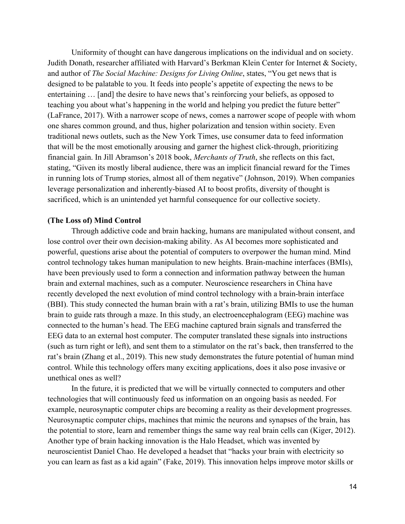Uniformity of thought can have dangerous implications on the individual and on society. Judith Donath, researcher affiliated with Harvard's Berkman Klein Center for Internet & Society, and author of *The Social Machine: Designs for Living Online*, states, "You get news that is designed to be palatable to you. It feeds into people's appetite of expecting the news to be entertaining … [and] the desire to have news that's reinforcing your beliefs, as opposed to teaching you about what's happening in the world and helping you predict the future better" (LaFrance, 2017). With a narrower scope of news, comes a narrower scope of people with whom one shares common ground, and thus, higher polarization and tension within society. Even traditional news outlets, such as the New York Times, use consumer data to feed information that will be the most emotionally arousing and garner the highest click-through, prioritizing financial gain. In Jill Abramson's 2018 book, *Merchants of Truth*, she reflects on this fact, stating, "Given its mostly liberal audience, there was an implicit financial reward for the Times in running lots of Trump stories, almost all of them negative" (Johnson, 2019). When companies leverage personalization and inherently-biased AI to boost profits, diversity of thought is sacrificed, which is an unintended yet harmful consequence for our collective society.

## **(The Loss of) Mind Control**

Through addictive code and brain hacking, humans are manipulated without consent, and lose control over their own decision-making ability. As AI becomes more sophisticated and powerful, questions arise about the potential of computers to overpower the human mind. Mind control technology takes human manipulation to new heights. Brain-machine interfaces (BMIs), have been previously used to form a connection and information pathway between the human brain and external machines, such as a computer. Neuroscience researchers in China have recently developed the next evolution of mind control technology with a brain-brain interface (BBI). This study connected the human brain with a rat's brain, utilizing BMIs to use the human brain to guide rats through a maze. In this study, an electroencephalogram (EEG) machine was connected to the human's head. The EEG machine captured brain signals and transferred the EEG data to an external host computer. The computer translated these signals into instructions (such as turn right or left), and sent them to a stimulator on the rat's back, then transferred to the rat's brain (Zhang et al., 2019). This new study demonstrates the future potential of human mind control. While this technology offers many exciting applications, does it also pose invasive or unethical ones as well?

In the future, it is predicted that we will be virtually connected to computers and other technologies that will continuously feed us information on an ongoing basis as needed. For example, neurosynaptic computer chips are becoming a reality as their development progresses. Neurosynaptic computer chips, machines that mimic the neurons and synapses of the brain, has the potential to store, learn and remember things the same way real brain cells can (Kiger, 2012). Another type of brain hacking innovation is the Halo Headset, which was invented by neuroscientist Daniel Chao. He developed a headset that "hacks your brain with electricity so you can learn as fast as a kid again" (Fake, 2019). This innovation helps improve motor skills or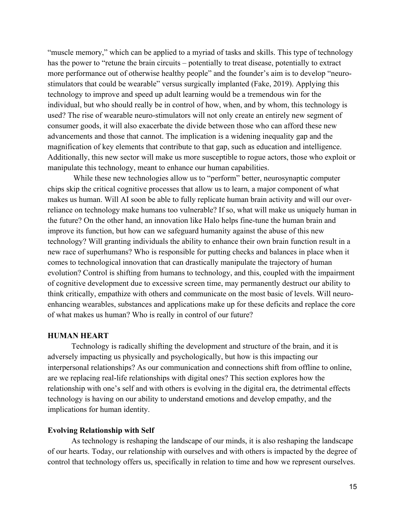"muscle memory," which can be applied to a myriad of tasks and skills. This type of technology has the power to "retune the brain circuits – potentially to treat disease, potentially to extract more performance out of otherwise healthy people" and the founder's aim is to develop "neurostimulators that could be wearable" versus surgically implanted (Fake, 2019). Applying this technology to improve and speed up adult learning would be a tremendous win for the individual, but who should really be in control of how, when, and by whom, this technology is used? The rise of wearable neuro-stimulators will not only create an entirely new segment of consumer goods, it will also exacerbate the divide between those who can afford these new advancements and those that cannot. The implication is a widening inequality gap and the magnification of key elements that contribute to that gap, such as education and intelligence. Additionally, this new sector will make us more susceptible to rogue actors, those who exploit or manipulate this technology, meant to enhance our human capabilities.

While these new technologies allow us to "perform" better, neurosynaptic computer chips skip the critical cognitive processes that allow us to learn, a major component of what makes us human. Will AI soon be able to fully replicate human brain activity and will our overreliance on technology make humans too vulnerable? If so, what will make us uniquely human in the future? On the other hand, an innovation like Halo helps fine-tune the human brain and improve its function, but how can we safeguard humanity against the abuse of this new technology? Will granting individuals the ability to enhance their own brain function result in a new race of superhumans? Who is responsible for putting checks and balances in place when it comes to technological innovation that can drastically manipulate the trajectory of human evolution? Control is shifting from humans to technology, and this, coupled with the impairment of cognitive development due to excessive screen time, may permanently destruct our ability to think critically, empathize with others and communicate on the most basic of levels. Will neuroenhancing wearables, substances and applications make up for these deficits and replace the core of what makes us human? Who is really in control of our future?

#### **HUMAN HEART**

Technology is radically shifting the development and structure of the brain, and it is adversely impacting us physically and psychologically, but how is this impacting our interpersonal relationships? As our communication and connections shift from offline to online, are we replacing real-life relationships with digital ones? This section explores how the relationship with one's self and with others is evolving in the digital era, the detrimental effects technology is having on our ability to understand emotions and develop empathy, and the implications for human identity.

#### **Evolving Relationship with Self**

As technology is reshaping the landscape of our minds, it is also reshaping the landscape of our hearts. Today, our relationship with ourselves and with others is impacted by the degree of control that technology offers us, specifically in relation to time and how we represent ourselves.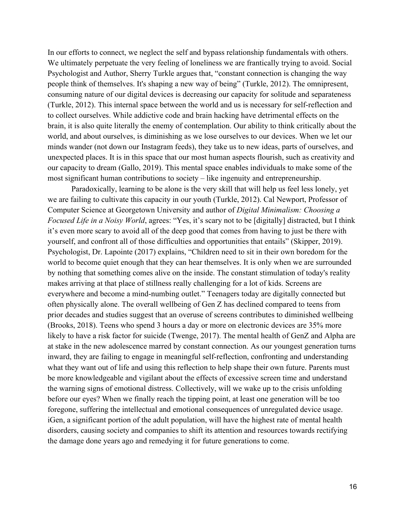In our efforts to connect, we neglect the self and bypass relationship fundamentals with others. We ultimately perpetuate the very feeling of loneliness we are frantically trying to avoid. Social Psychologist and Author, Sherry Turkle argues that, "constant connection is changing the way people think of themselves. It's shaping a new way of being" (Turkle, 2012). The omnipresent, consuming nature of our digital devices is decreasing our capacity for solitude and separateness (Turkle, 2012). This internal space between the world and us is necessary for self-reflection and to collect ourselves. While addictive code and brain hacking have detrimental effects on the brain, it is also quite literally the enemy of contemplation. Our ability to think critically about the world, and about ourselves, is diminishing as we lose ourselves to our devices. When we let our minds wander (not down our Instagram feeds), they take us to new ideas, parts of ourselves, and unexpected places. It is in this space that our most human aspects flourish, such as creativity and our capacity to dream (Gallo, 2019). This mental space enables individuals to make some of the most significant human contributions to society – like ingenuity and entrepreneurship.

Paradoxically, learning to be alone is the very skill that will help us feel less lonely, yet we are failing to cultivate this capacity in our youth (Turkle, 2012). Cal Newport, Professor of Computer Science at Georgetown University and author of *Digital Minimalism: Choosing a Focused Life in a Noisy World*, agrees: "Yes, it's scary not to be [digitally] distracted, but I think it's even more scary to avoid all of the deep good that comes from having to just be there with yourself, and confront all of those difficulties and opportunities that entails" (Skipper, 2019). Psychologist, Dr. Lapointe (2017) explains, "Children need to sit in their own boredom for the world to become quiet enough that they can hear themselves. It is only when we are surrounded by nothing that something comes alive on the inside. The constant stimulation of today's reality makes arriving at that place of stillness really challenging for a lot of kids. Screens are everywhere and become a mind-numbing outlet." Teenagers today are digitally connected but often physically alone. The overall wellbeing of Gen Z has declined compared to teens from prior decades and studies suggest that an overuse of screens contributes to diminished wellbeing (Brooks, 2018). Teens who spend 3 hours a day or more on electronic devices are 35% more likely to have a risk factor for suicide (Twenge, 2017). The mental health of GenZ and Alpha are at stake in the new adolescence marred by constant connection. As our youngest generation turns inward, they are failing to engage in meaningful self-reflection, confronting and understanding what they want out of life and using this reflection to help shape their own future. Parents must be more knowledgeable and vigilant about the effects of excessive screen time and understand the warning signs of emotional distress. Collectively, will we wake up to the crisis unfolding before our eyes? When we finally reach the tipping point, at least one generation will be too foregone, suffering the intellectual and emotional consequences of unregulated device usage. iGen, a significant portion of the adult population, will have the highest rate of mental health disorders, causing society and companies to shift its attention and resources towards rectifying the damage done years ago and remedying it for future generations to come.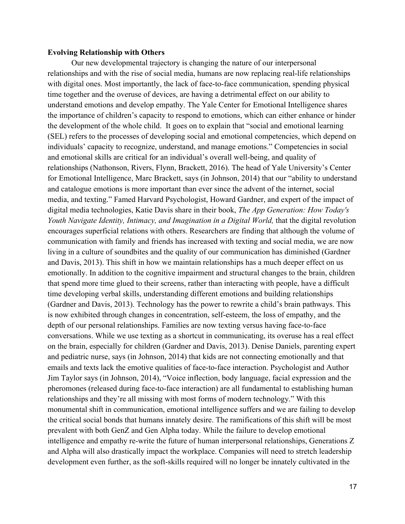#### **Evolving Relationship with Others**

Our new developmental trajectory is changing the nature of our interpersonal relationships and with the rise of social media, humans are now replacing real-life relationships with digital ones. Most importantly, the lack of face-to-face communication, spending physical time together and the overuse of devices, are having a detrimental effect on our ability to understand emotions and develop empathy. The Yale Center for Emotional Intelligence shares the importance of children's capacity to respond to emotions, which can either enhance or hinder the development of the whole child. It goes on to explain that "social and emotional learning (SEL) refers to the processes of developing social and emotional competencies, which depend on individuals' capacity to recognize, understand, and manage emotions." Competencies in social and emotional skills are critical for an individual's overall well-being, and quality of relationships (Nathonson, Rivers, Flynn, Brackett, 2016). The head of Yale University's Center for Emotional Intelligence, Marc Brackett, says (in Johnson, 2014) that our "ability to understand and catalogue emotions is more important than ever since the advent of the internet, social media, and texting." Famed Harvard Psychologist, Howard Gardner, and expert of the impact of digital media technologies, Katie Davis share in their book, *The App Generation: How Today's*  Youth Navigate Identity, Intimacy, and Imagination in a Digital World, that the digital revolution encourages superficial relations with others. Researchers are finding that although the volume of communication with family and friends has increased with texting and social media, we are now living in a culture of soundbites and the quality of our communication has diminished (Gardner and Davis, 2013). This shift in how we maintain relationships has a much deeper effect on us emotionally. In addition to the cognitive impairment and structural changes to the brain, children that spend more time glued to their screens, rather than interacting with people, have a difficult time developing verbal skills, understanding different emotions and building relationships (Gardner and Davis, 2013). Technology has the power to rewrite a child's brain pathways. This is now exhibited through changes in concentration, self-esteem, the loss of empathy, and the depth of our personal relationships. Families are now texting versus having face-to-face conversations. While we use texting as a shortcut in communicating, its overuse has a real effect on the brain, especially for children (Gardner and Davis, 2013). Denise Daniels, parenting expert and pediatric nurse, says (in Johnson, 2014) that kids are not connecting emotionally and that emails and texts lack the emotive qualities of face-to-face interaction. Psychologist and Author Jim Taylor says (in Johnson, 2014), "Voice inflection, body language, facial expression and the pheromones (released during face-to-face interaction) are all fundamental to establishing human relationships and they're all missing with most forms of modern technology." With this monumental shift in communication, emotional intelligence suffers and we are failing to develop the critical social bonds that humans innately desire. The ramifications of this shift will be most prevalent with both GenZ and Gen Alpha today. While the failure to develop emotional intelligence and empathy re-write the future of human interpersonal relationships, Generations Z and Alpha will also drastically impact the workplace. Companies will need to stretch leadership development even further, as the soft-skills required will no longer be innately cultivated in the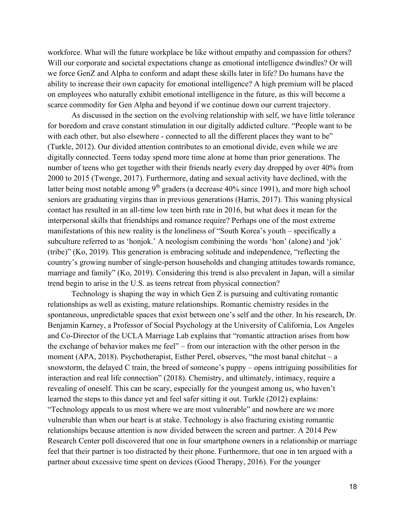workforce. What will the future workplace be like without empathy and compassion for others? Will our corporate and societal expectations change as emotional intelligence dwindles? Or will we force GenZ and Alpha to conform and adapt these skills later in life? Do humans have the ability to increase their own capacity for emotional intelligence? A high premium will be placed on employees who naturally exhibit emotional intelligence in the future, as this will become a scarce commodity for Gen Alpha and beyond if we continue down our current trajectory.

As discussed in the section on the evolving relationship with self, we have little tolerance for boredom and crave constant stimulation in our digitally addicted culture. "People want to be with each other, but also elsewhere - connected to all the different places they want to be" (Turkle, 2012). Our divided attention contributes to an emotional divide, even while we are digitally connected. Teens today spend more time alone at home than prior generations. The number of teens who get together with their friends nearly every day dropped by over 40% from 2000 to 2015 (Twenge, 2017). Furthermore, dating and sexual activity have declined, with the latter being most notable among  $9<sup>th</sup>$  graders (a decrease 40% since 1991), and more high school seniors are graduating virgins than in previous generations (Harris, 2017). This waning physical contact has resulted in an all-time low teen birth rate in 2016, but what does it mean for the interpersonal skills that friendships and romance require? Perhaps one of the most extreme manifestations of this new reality is the loneliness of "South Korea's youth – specifically a subculture referred to as 'honjok.' A neologism combining the words 'hon' (alone) and 'jok' (tribe)" (Ko, 2019). This generation is embracing solitude and independence, "reflecting the country's growing number of single-person households and changing attitudes towards romance, marriage and family" (Ko, 2019). Considering this trend is also prevalent in Japan, will a similar trend begin to arise in the U.S. as teens retreat from physical connection?

Technology is shaping the way in which Gen Z is pursuing and cultivating romantic relationships as well as existing, mature relationships. Romantic chemistry resides in the spontaneous, unpredictable spaces that exist between one's self and the other. In his research, Dr. Benjamin Karney, a Professor of Social Psychology at the University of California, Los Angeles and Co-Director of the UCLA Marriage Lab explains that "romantic attraction arises from how the exchange of behavior makes me feel" – from our interaction with the other person in the moment (APA, 2018). Psychotherapist, Esther Perel, observes, "the most banal chitchat – a snowstorm, the delayed C train, the breed of someone's puppy – opens intriguing possibilities for interaction and real life connection" (2018). Chemistry, and ultimately, intimacy, require a revealing of oneself. This can be scary, especially for the youngest among us, who haven't learned the steps to this dance yet and feel safer sitting it out. Turkle (2012) explains: "Technology appeals to us most where we are most vulnerable" and nowhere are we more vulnerable than when our heart is at stake. Technology is also fracturing existing romantic relationships because attention is now divided between the screen and partner. A 2014 Pew Research Center poll discovered that one in four smartphone owners in a relationship or marriage feel that their partner is too distracted by their phone. Furthermore, that one in ten argued with a partner about excessive time spent on devices (Good Therapy, 2016). For the younger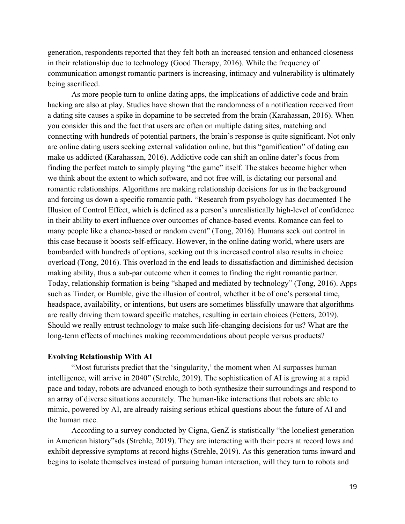generation, respondents reported that they felt both an increased tension and enhanced closeness in their relationship due to technology (Good Therapy, 2016). While the frequency of communication amongst romantic partners is increasing, intimacy and vulnerability is ultimately being sacrificed.

As more people turn to online dating apps, the implications of addictive code and brain hacking are also at play. Studies have shown that the randomness of a notification received from a dating site causes a spike in dopamine to be secreted from the brain (Karahassan, 2016). When you consider this and the fact that users are often on multiple dating sites, matching and connecting with hundreds of potential partners, the brain's response is quite significant. Not only are online dating users seeking external validation online, but this "gamification" of dating can make us addicted (Karahassan, 2016). Addictive code can shift an online dater's focus from finding the perfect match to simply playing "the game" itself. The stakes become higher when we think about the extent to which software, and not free will, is dictating our personal and romantic relationships. Algorithms are making relationship decisions for us in the background and forcing us down a specific romantic path. "Research from psychology has documented The Illusion of Control Effect, which is defined as a person's unrealistically high-level of confidence in their ability to exert influence over outcomes of chance-based events. Romance can feel to many people like a chance-based or random event" (Tong, 2016). Humans seek out control in this case because it boosts self-efficacy. However, in the online dating world, where users are bombarded with hundreds of options, seeking out this increased control also results in choice overload (Tong, 2016). This overload in the end leads to dissatisfaction and diminished decision making ability, thus a sub-par outcome when it comes to finding the right romantic partner. Today, relationship formation is being "shaped and mediated by technology" (Tong, 2016). Apps such as Tinder, or Bumble, give the illusion of control, whether it be of one's personal time, headspace, availability, or intentions, but users are sometimes blissfully unaware that algorithms are really driving them toward specific matches, resulting in certain choices (Fetters, 2019). Should we really entrust technology to make such life-changing decisions for us? What are the long-term effects of machines making recommendations about people versus products?

#### **Evolving Relationship With AI**

"Most futurists predict that the 'singularity,' the moment when AI surpasses human intelligence, will arrive in 2040" (Strehle, 2019). The sophistication of AI is growing at a rapid pace and today, robots are advanced enough to both synthesize their surroundings and respond to an array of diverse situations accurately. The human-like interactions that robots are able to mimic, powered by AI, are already raising serious ethical questions about the future of AI and the human race.

According to a survey conducted by Cigna, GenZ is statistically "the loneliest generation in American history"sds (Strehle, 2019). They are interacting with their peers at record lows and exhibit depressive symptoms at record highs (Strehle, 2019). As this generation turns inward and begins to isolate themselves instead of pursuing human interaction, will they turn to robots and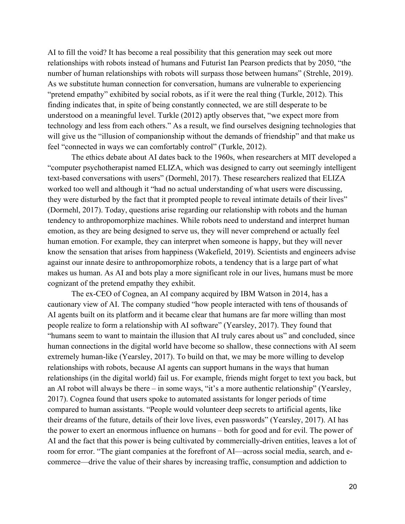AI to fill the void? It has become a real possibility that this generation may seek out more relationships with robots instead of humans and Futurist Ian Pearson predicts that by 2050, "the number of human relationships with robots will surpass those between humans" (Strehle, 2019). As we substitute human connection for conversation, humans are vulnerable to experiencing "pretend empathy" exhibited by social robots, as if it were the real thing (Turkle, 2012). This finding indicates that, in spite of being constantly connected, we are still desperate to be understood on a meaningful level. Turkle (2012) aptly observes that, "we expect more from technology and less from each others." As a result, we find ourselves designing technologies that will give us the "illusion of companionship without the demands of friendship" and that make us feel "connected in ways we can comfortably control" (Turkle, 2012).

The ethics debate about AI dates back to the 1960s, when researchers at MIT developed a "computer psychotherapist named ELIZA, which was designed to carry out seemingly intelligent text-based conversations with users" (Dormehl, 2017). These researchers realized that ELIZA worked too well and although it "had no actual understanding of what users were discussing, they were disturbed by the fact that it prompted people to reveal intimate details of their lives" (Dormehl, 2017). Today, questions arise regarding our relationship with robots and the human tendency to anthropomorphize machines. While robots need to understand and interpret human emotion, as they are being designed to serve us, they will never comprehend or actually feel human emotion. For example, they can interpret when someone is happy, but they will never know the sensation that arises from happiness (Wakefield, 2019). Scientists and engineers advise against our innate desire to anthropomorphize robots, a tendency that is a large part of what makes us human. As AI and bots play a more significant role in our lives, humans must be more cognizant of the pretend empathy they exhibit.

The ex-CEO of Cognea, an AI company acquired by IBM Watson in 2014, has a cautionary view of AI. The company studied "how people interacted with tens of thousands of AI agents built on its platform and it became clear that humans are far more willing than most people realize to form a relationship with AI software" (Yearsley, 2017). They found that "humans seem to want to maintain the illusion that AI truly cares about us" and concluded, since human connections in the digital world have become so shallow, these connections with AI seem extremely human-like (Yearsley, 2017). To build on that, we may be more willing to develop relationships with robots, because AI agents can support humans in the ways that human relationships (in the digital world) fail us. For example, friends might forget to text you back, but an AI robot will always be there – in some ways, "it's a more authentic relationship" (Yearsley, 2017). Cognea found that users spoke to automated assistants for longer periods of time compared to human assistants. "People would volunteer deep secrets to artificial agents, like their dreams of the future, details of their love lives, even passwords" (Yearsley, 2017). AI has the power to exert an enormous influence on humans – both for good and for evil. The power of AI and the fact that this power is being cultivated by commercially-driven entities, leaves a lot of room for error. "The giant companies at the forefront of AI—across social media, search, and ecommerce—drive the value of their shares by increasing traffic, consumption and addiction to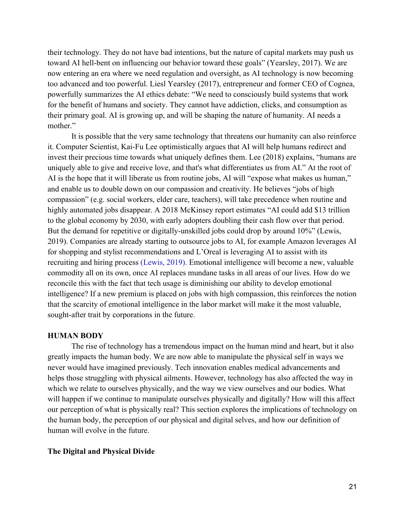their technology. They do not have bad intentions, but the nature of capital markets may push us toward AI hell-bent on influencing our behavior toward these goals" (Yearsley, 2017). We are now entering an era where we need regulation and oversight, as AI technology is now becoming too advanced and too powerful. Liesl Yearsley (2017), entrepreneur and former CEO of Cognea, powerfully summarizes the AI ethics debate: "We need to consciously build systems that work for the benefit of humans and society. They cannot have addiction, clicks, and consumption as their primary goal. AI is growing up, and will be shaping the nature of humanity. AI needs a mother"

It is possible that the very same technology that threatens our humanity can also reinforce it. Computer Scientist, Kai-Fu Lee optimistically argues that AI will help humans redirect and invest their precious time towards what uniquely defines them. Lee (2018) explains, "humans are uniquely able to give and receive love, and that's what differentiates us from AI." At the root of AI is the hope that it will liberate us from routine jobs, AI will "expose what makes us human," and enable us to double down on our compassion and creativity. He believes "jobs of high compassion" (e.g. social workers, elder care, teachers), will take precedence when routine and highly automated jobs disappear. A 2018 McKinsey report estimates "AI could add \$13 trillion to the global economy by 2030, with early adopters doubling their cash flow over that period. But the demand for repetitive or digitally-unskilled jobs could drop by around 10%" (Lewis, 2019). Companies are already starting to outsource jobs to AI, for example Amazon leverages AI for shopping and stylist recommendations and L'Oreal is leveraging AI to assist with its recruiting and hiring process (Lewis, 2019). Emotional intelligence will become a new, valuable commodity all on its own, once AI replaces mundane tasks in all areas of our lives. How do we reconcile this with the fact that tech usage is diminishing our ability to develop emotional intelligence? If a new premium is placed on jobs with high compassion, this reinforces the notion that the scarcity of emotional intelligence in the labor market will make it the most valuable, sought-after trait by corporations in the future.

#### **HUMAN BODY**

The rise of technology has a tremendous impact on the human mind and heart, but it also greatly impacts the human body. We are now able to manipulate the physical self in ways we never would have imagined previously. Tech innovation enables medical advancements and helps those struggling with physical ailments. However, technology has also affected the way in which we relate to ourselves physically, and the way we view ourselves and our bodies. What will happen if we continue to manipulate ourselves physically and digitally? How will this affect our perception of what is physically real? This section explores the implications of technology on the human body, the perception of our physical and digital selves, and how our definition of human will evolve in the future.

## **The Digital and Physical Divide**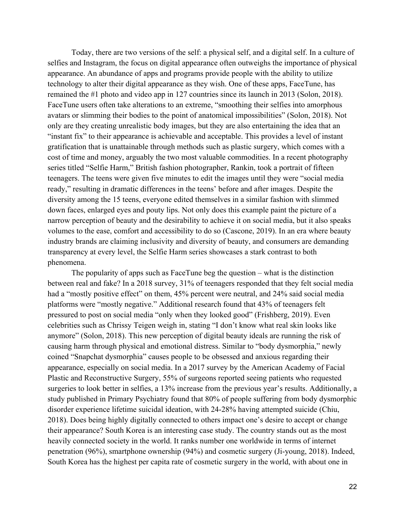Today, there are two versions of the self: a physical self, and a digital self. In a culture of selfies and Instagram, the focus on digital appearance often outweighs the importance of physical appearance. An abundance of apps and programs provide people with the ability to utilize technology to alter their digital appearance as they wish. One of these apps, FaceTune, has remained the #1 photo and video app in 127 countries since its launch in 2013 (Solon, 2018). FaceTune users often take alterations to an extreme, "smoothing their selfies into amorphous avatars or slimming their bodies to the point of anatomical impossibilities" (Solon, 2018). Not only are they creating unrealistic body images, but they are also entertaining the idea that an "instant fix" to their appearance is achievable and acceptable. This provides a level of instant gratification that is unattainable through methods such as plastic surgery, which comes with a cost of time and money, arguably the two most valuable commodities. In a recent photography series titled "Selfie Harm," British fashion photographer, Rankin, took a portrait of fifteen teenagers. The teens were given five minutes to edit the images until they were "social media ready," resulting in dramatic differences in the teens' before and after images. Despite the diversity among the 15 teens, everyone edited themselves in a similar fashion with slimmed down faces, enlarged eyes and pouty lips. Not only does this example paint the picture of a narrow perception of beauty and the desirability to achieve it on social media, but it also speaks volumes to the ease, comfort and accessibility to do so (Cascone, 2019). In an era where beauty industry brands are claiming inclusivity and diversity of beauty, and consumers are demanding transparency at every level, the Selfie Harm series showcases a stark contrast to both phenomena.

The popularity of apps such as FaceTune beg the question – what is the distinction between real and fake? In a 2018 survey, 31% of teenagers responded that they felt social media had a "mostly positive effect" on them, 45% percent were neutral, and 24% said social media platforms were "mostly negative." Additional research found that 43% of teenagers felt pressured to post on social media "only when they looked good" (Frishberg, 2019). Even celebrities such as Chrissy Teigen weigh in, stating "I don't know what real skin looks like anymore" (Solon, 2018). This new perception of digital beauty ideals are running the risk of causing harm through physical and emotional distress. Similar to "body dysmorphia," newly coined "Snapchat dysmorphia" causes people to be obsessed and anxious regarding their appearance, especially on social media. In a 2017 survey by the American Academy of Facial Plastic and Reconstructive Surgery, 55% of surgeons reported seeing patients who requested surgeries to look better in selfies, a 13% increase from the previous year's results. Additionally, a study published in Primary Psychiatry found that 80% of people suffering from body dysmorphic disorder experience lifetime suicidal ideation, with 24-28% having attempted suicide (Chiu, 2018). Does being highly digitally connected to others impact one's desire to accept or change their appearance? South Korea is an interesting case study. The country stands out as the most heavily connected society in the world. It ranks number one worldwide in terms of internet penetration (96%), smartphone ownership (94%) and cosmetic surgery (Ji-young, 2018). Indeed, South Korea has the highest per capita rate of cosmetic surgery in the world, with about one in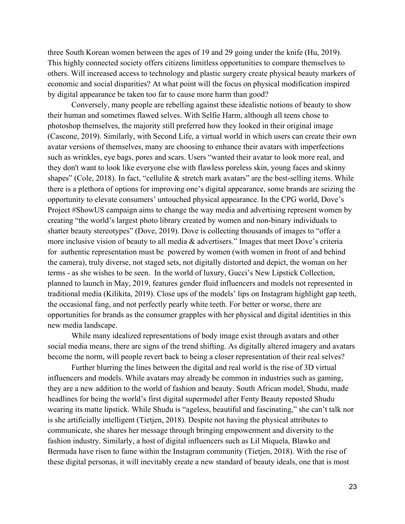three South Korean women between the ages of 19 and 29 going under the knife (Hu, 2019). This highly connected society offers citizens limitless opportunities to compare themselves to others. Will increased access to technology and plastic surgery create physical beauty markers of economic and social disparities? At what point will the focus on physical modification inspired by digital appearance be taken too far to cause more harm than good?

Conversely, many people are rebelling against these idealistic notions of beauty to show their human and sometimes flawed selves. With Selfie Harm, although all teens chose to photoshop themselves, the majority still preferred how they looked in their original image (Cascone, 2019). Similarly, with Second Life, a virtual world in which users can create their own avatar versions of themselves, many are choosing to enhance their avatars with imperfections such as wrinkles, eye bags, pores and scars. Users "wanted their avatar to look more real, and they don't want to look like everyone else with flawless poreless skin, young faces and skinny shapes" (Cole, 2018). In fact, "cellulite & stretch mark avatars" are the best-selling items. While there is a plethora of options for improving one's digital appearance, some brands are seizing the opportunity to elevate consumers' untouched physical appearance. In the CPG world, Dove's Project #ShowUS campaign aims to change the way media and advertising represent women by creating "the world's largest photo library created by women and non-binary individuals to shatter beauty stereotypes" (Dove, 2019). Dove is collecting thousands of images to "offer a more inclusive vision of beauty to all media & advertisers." Images that meet Dove's criteria for authentic representation must be powered by women (with women in front of and behind the camera), truly diverse, not staged sets, not digitally distorted and depict, the woman on her terms - as she wishes to be seen. In the world of luxury, Gucci's New Lipstick Collection, planned to launch in May, 2019, features gender fluid influencers and models not represented in traditional media (Kilikita, 2019). Close ups of the models' lips on Instagram highlight gap teeth, the occasional fang, and not perfectly pearly white teeth. For better or worse, there are opportunities for brands as the consumer grapples with her physical and digital identities in this new media landscape.

While many idealized representations of body image exist through avatars and other social media means, there are signs of the trend shifting. As digitally altered imagery and avatars become the norm, will people revert back to being a closer representation of their real selves?

Further blurring the lines between the digital and real world is the rise of 3D virtual influencers and models. While avatars may already be common in industries such as gaming, they are a new addition to the world of fashion and beauty. South African model, Shudu, made headlines for being the world's first digital supermodel after Fenty Beauty reposted Shudu wearing its matte lipstick. While Shudu is "ageless, beautiful and fascinating," she can't talk nor is she artificially intelligent (Tietjen, 2018). Despite not having the physical attributes to communicate, she shares her message through bringing empowerment and diversity to the fashion industry. Similarly, a host of digital influencers such as Lil Miquela, Blawko and Bermuda have risen to fame within the Instagram community (Tietjen, 2018). With the rise of these digital personas, it will inevitably create a new standard of beauty ideals, one that is most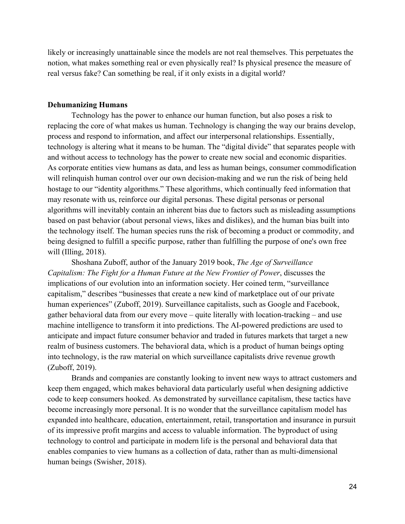likely or increasingly unattainable since the models are not real themselves. This perpetuates the notion, what makes something real or even physically real? Is physical presence the measure of real versus fake? Can something be real, if it only exists in a digital world?

#### **Dehumanizing Humans**

Technology has the power to enhance our human function, but also poses a risk to replacing the core of what makes us human. Technology is changing the way our brains develop, process and respond to information, and affect our interpersonal relationships. Essentially, technology is altering what it means to be human. The "digital divide" that separates people with and without access to technology has the power to create new social and economic disparities. As corporate entities view humans as data, and less as human beings, consumer commodification will relinquish human control over our own decision-making and we run the risk of being held hostage to our "identity algorithms." These algorithms, which continually feed information that may resonate with us, reinforce our digital personas. These digital personas or personal algorithms will inevitably contain an inherent bias due to factors such as misleading assumptions based on past behavior (about personal views, likes and dislikes), and the human bias built into the technology itself. The human species runs the risk of becoming a product or commodity, and being designed to fulfill a specific purpose, rather than fulfilling the purpose of one's own free will (Illing, 2018).

Shoshana Zuboff, author of the January 2019 book, *The Age of Surveillance Capitalism: The Fight for a Human Future at the New Frontier of Power*, discusses the implications of our evolution into an information society. Her coined term, "surveillance capitalism," describes "businesses that create a new kind of marketplace out of our private human experiences" (Zuboff, 2019). Surveillance capitalists, such as Google and Facebook, gather behavioral data from our every move – quite literally with location-tracking – and use machine intelligence to transform it into predictions. The AI-powered predictions are used to anticipate and impact future consumer behavior and traded in futures markets that target a new realm of business customers. The behavioral data, which is a product of human beings opting into technology, is the raw material on which surveillance capitalists drive revenue growth (Zuboff, 2019).

Brands and companies are constantly looking to invent new ways to attract customers and keep them engaged, which makes behavioral data particularly useful when designing addictive code to keep consumers hooked. As demonstrated by surveillance capitalism, these tactics have become increasingly more personal. It is no wonder that the surveillance capitalism model has expanded into healthcare, education, entertainment, retail, transportation and insurance in pursuit of its impressive profit margins and access to valuable information. The byproduct of using technology to control and participate in modern life is the personal and behavioral data that enables companies to view humans as a collection of data, rather than as multi-dimensional human beings (Swisher, 2018).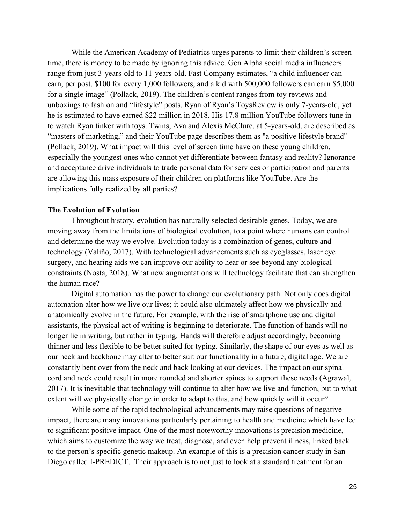While the American Academy of Pediatrics urges parents to limit their children's screen time, there is money to be made by ignoring this advice. Gen Alpha social media influencers range from just 3-years-old to 11-years-old. Fast Company estimates, "a child influencer can earn, per post, \$100 for every 1,000 followers, and a kid with 500,000 followers can earn \$5,000 for a single image" (Pollack, 2019). The children's content ranges from toy reviews and unboxings to fashion and "lifestyle" posts. Ryan of Ryan's ToysReview is only 7-years-old, yet he is estimated to have earned \$22 million in 2018. His 17.8 million YouTube followers tune in to watch Ryan tinker with toys. Twins, Ava and Alexis McClure, at 5-years-old, are described as "masters of marketing," and their YouTube page describes them as "a positive lifestyle brand" (Pollack, 2019). What impact will this level of screen time have on these young children, especially the youngest ones who cannot yet differentiate between fantasy and reality? Ignorance and acceptance drive individuals to trade personal data for services or participation and parents are allowing this mass exposure of their children on platforms like YouTube. Are the implications fully realized by all parties?

#### **The Evolution of Evolution**

Throughout history, evolution has naturally selected desirable genes. Today, we are moving away from the limitations of biological evolution, to a point where humans can control and determine the way we evolve. Evolution today is a combination of genes, culture and technology (Valiño, 2017). With technological advancements such as eyeglasses, laser eye surgery, and hearing aids we can improve our ability to hear or see beyond any biological constraints (Nosta, 2018). What new augmentations will technology facilitate that can strengthen the human race?

Digital automation has the power to change our evolutionary path. Not only does digital automation alter how we live our lives; it could also ultimately affect how we physically and anatomically evolve in the future. For example, with the rise of smartphone use and digital assistants, the physical act of writing is beginning to deteriorate. The function of hands will no longer lie in writing, but rather in typing. Hands will therefore adjust accordingly, becoming thinner and less flexible to be better suited for typing. Similarly, the shape of our eyes as well as our neck and backbone may alter to better suit our functionality in a future, digital age. We are constantly bent over from the neck and back looking at our devices. The impact on our spinal cord and neck could result in more rounded and shorter spines to support these needs (Agrawal, 2017). It is inevitable that technology will continue to alter how we live and function, but to what extent will we physically change in order to adapt to this, and how quickly will it occur?

While some of the rapid technological advancements may raise questions of negative impact, there are many innovations particularly pertaining to health and medicine which have led to significant positive impact. One of the most noteworthy innovations is precision medicine, which aims to customize the way we treat, diagnose, and even help prevent illness, linked back to the person's specific genetic makeup. An example of this is a precision cancer study in San Diego called I-PREDICT. Their approach is to not just to look at a standard treatment for an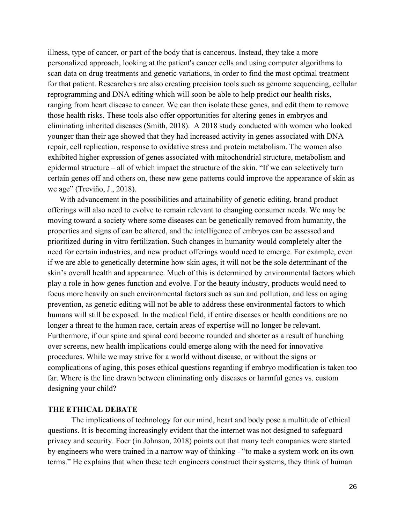illness, type of cancer, or part of the body that is cancerous. Instead, they take a more personalized approach, looking at the patient's cancer cells and using computer algorithms to scan data on drug treatments and genetic variations, in order to find the most optimal treatment for that patient. Researchers are also creating precision tools such as genome sequencing, cellular reprogramming and DNA editing which will soon be able to help predict our health risks, ranging from heart disease to cancer. We can then isolate these genes, and edit them to remove those health risks. These tools also offer opportunities for altering genes in embryos and eliminating inherited diseases (Smith, 2018). A 2018 study conducted with women who looked younger than their age showed that they had increased activity in genes associated with DNA repair, cell replication, response to oxidative stress and protein metabolism. The women also exhibited higher expression of genes associated with mitochondrial structure, metabolism and epidermal structure – all of which impact the structure of the skin. "If we can selectively turn certain genes off and others on, these new gene patterns could improve the appearance of skin as we age" (Treviño, J., 2018).

With advancement in the possibilities and attainability of genetic editing, brand product offerings will also need to evolve to remain relevant to changing consumer needs. We may be moving toward a society where some diseases can be genetically removed from humanity, the properties and signs of can be altered, and the intelligence of embryos can be assessed and prioritized during in vitro fertilization. Such changes in humanity would completely alter the need for certain industries, and new product offerings would need to emerge. For example, even if we are able to genetically determine how skin ages, it will not be the sole determinant of the skin's overall health and appearance. Much of this is determined by environmental factors which play a role in how genes function and evolve. For the beauty industry, products would need to focus more heavily on such environmental factors such as sun and pollution, and less on aging prevention, as genetic editing will not be able to address these environmental factors to which humans will still be exposed. In the medical field, if entire diseases or health conditions are no longer a threat to the human race, certain areas of expertise will no longer be relevant. Furthermore, if our spine and spinal cord become rounded and shorter as a result of hunching over screens, new health implications could emerge along with the need for innovative procedures. While we may strive for a world without disease, or without the signs or complications of aging, this poses ethical questions regarding if embryo modification is taken too far. Where is the line drawn between eliminating only diseases or harmful genes vs. custom designing your child?

#### **THE ETHICAL DEBATE**

The implications of technology for our mind, heart and body pose a multitude of ethical questions. It is becoming increasingly evident that the internet was not designed to safeguard privacy and security. Foer (in Johnson, 2018) points out that many tech companies were started by engineers who were trained in a narrow way of thinking - "to make a system work on its own terms." He explains that when these tech engineers construct their systems, they think of human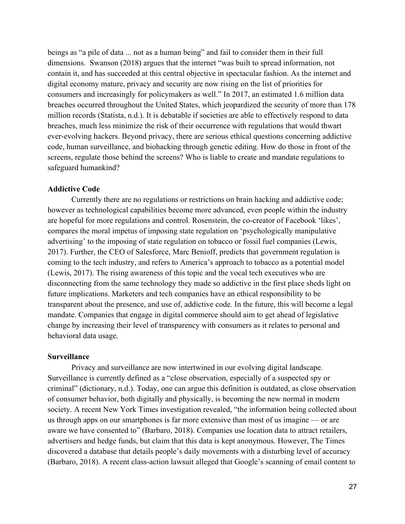beings as "a pile of data ... not as a human being" and fail to consider them in their full dimensions. Swanson (2018) argues that the internet "was built to spread information, not contain it, and has succeeded at this central objective in spectacular fashion. As the internet and digital economy mature, privacy and security are now rising on the list of priorities for consumers and increasingly for policymakers as well." In 2017, an estimated 1.6 million data breaches occurred throughout the United States, which jeopardized the security of more than 178 million records (Statista, n.d.). It is debatable if societies are able to effectively respond to data breaches, much less minimize the risk of their occurrence with regulations that would thwart ever-evolving hackers. Beyond privacy, there are serious ethical questions concerning addictive code, human surveillance, and biohacking through genetic editing. How do those in front of the screens, regulate those behind the screens? Who is liable to create and mandate regulations to safeguard humankind?

## **Addictive Code**

Currently there are no regulations or restrictions on brain hacking and addictive code; however as technological capabilities become more advanced, even people within the industry are hopeful for more regulations and control. Rosenstein, the co-creator of Facebook 'likes', compares the moral impetus of imposing state regulation on 'psychologically manipulative advertising' to the imposing of state regulation on tobacco or fossil fuel companies (Lewis, 2017). Further, the CEO of Salesforce, Marc Benioff, predicts that government regulation is coming to the tech industry, and refers to America's approach to tobacco as a potential model (Lewis, 2017). The rising awareness of this topic and the vocal tech executives who are disconnecting from the same technology they made so addictive in the first place sheds light on future implications. Marketers and tech companies have an ethical responsibility to be transparent about the presence, and use of, addictive code. In the future, this will become a legal mandate. Companies that engage in digital commerce should aim to get ahead of legislative change by increasing their level of transparency with consumers as it relates to personal and behavioral data usage.

## **Surveillance**

Privacy and surveillance are now intertwined in our evolving digital landscape. Surveillance is currently defined as a "close observation, especially of a suspected spy or criminal" (dictionary, n.d.). Today, one can argue this definition is outdated, as close observation of consumer behavior, both digitally and physically, is becoming the new normal in modern society. A recent New York Times investigation revealed, "the information being collected about us through apps on our smartphones is far more extensive than most of us imagine — or are aware we have consented to" (Barbaro, 2018). Companies use location data to attract retailers, advertisers and hedge funds, but claim that this data is kept anonymous. However, The Times discovered a database that details people's daily movements with a disturbing level of accuracy (Barbaro, 2018). A recent class-action lawsuit alleged that Google's scanning of email content to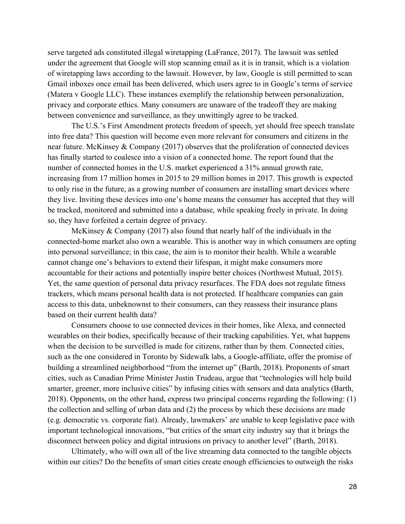serve targeted ads constituted illegal wiretapping (LaFrance, 2017). The lawsuit was settled under the agreement that Google will stop scanning email as it is in transit, which is a violation of wiretapping laws according to the lawsuit. However, by law, Google is still permitted to scan Gmail inboxes once email has been delivered, which users agree to in Google's terms of service (Matera v Google LLC). These instances exemplify the relationship between personalization, privacy and corporate ethics. Many consumers are unaware of the tradeoff they are making between convenience and surveillance, as they unwittingly agree to be tracked.

The U.S.'s First Amendment protects freedom of speech, yet should free speech translate into free data? This question will become even more relevant for consumers and citizens in the near future. McKinsey & Company (2017) observes that the proliferation of connected devices has finally started to coalesce into a vision of a connected home. The report found that the number of connected homes in the U.S. market experienced a 31% annual growth rate, increasing from 17 million homes in 2015 to 29 million homes in 2017. This growth is expected to only rise in the future, as a growing number of consumers are installing smart devices where they live. Inviting these devices into one's home means the consumer has accepted that they will be tracked, monitored and submitted into a database, while speaking freely in private. In doing so, they have forfeited a certain degree of privacy.

McKinsey & Company (2017) also found that nearly half of the individuals in the connected-home market also own a wearable. This is another way in which consumers are opting into personal surveillance; in this case, the aim is to monitor their health. While a wearable cannot change one's behaviors to extend their lifespan, it might make consumers more accountable for their actions and potentially inspire better choices (Northwest Mutual, 2015). Yet, the same question of personal data privacy resurfaces. The FDA does not regulate fitness trackers, which means personal health data is not protected. If healthcare companies can gain access to this data, unbeknownst to their consumers, can they reassess their insurance plans based on their current health data?

Consumers choose to use connected devices in their homes, like Alexa, and connected wearables on their bodies, specifically because of their tracking capabilities. Yet, what happens when the decision to be surveilled is made for citizens, rather than by them. Connected cities, such as the one considered in Toronto by Sidewalk labs, a Google-affiliate, offer the promise of building a streamlined neighborhood "from the internet up" (Barth, 2018). Proponents of smart cities, such as Canadian Prime Minister Justin Trudeau, argue that "technologies will help build smarter, greener, more inclusive cities" by infusing cities with sensors and data analytics (Barth, 2018). Opponents, on the other hand, express two principal concerns regarding the following: (1) the collection and selling of urban data and (2) the process by which these decisions are made (e.g. democratic vs. corporate fiat). Already, lawmakers' are unable to keep legislative pace with important technological innovations, "but critics of the smart city industry say that it brings the disconnect between policy and digital intrusions on privacy to another level" (Barth, 2018).

Ultimately, who will own all of the live streaming data connected to the tangible objects within our cities? Do the benefits of smart cities create enough efficiencies to outweigh the risks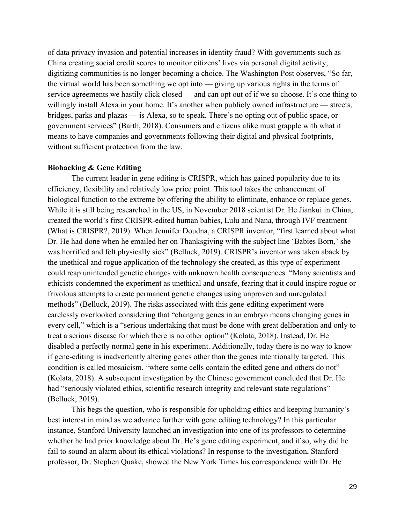of data privacy invasion and potential increases in identity fraud? With governments such as China creating social credit scores to monitor citizens' lives via personal digital activity, digitizing communities is no longer becoming a choice. The Washington Post observes, "So far, the virtual world has been something we opt into — giving up various rights in the terms of service agreements we hastily click closed — and can opt out of if we so choose. It's one thing to willingly install Alexa in your home. It's another when publicly owned infrastructure — streets, bridges, parks and plazas — is Alexa, so to speak. There's no opting out of public space, or government services" (Barth, 2018). Consumers and citizens alike must grapple with what it means to have companies and governments following their digital and physical footprints, without sufficient protection from the law.

## **Biohacking & Gene Editing**

The current leader in gene editing is CRISPR, which has gained popularity due to its efficiency, flexibility and relatively low price point. This tool takes the enhancement of biological function to the extreme by offering the ability to eliminate, enhance or replace genes. While it is still being researched in the US, in November 2018 scientist Dr. He Jiankui in China, created the world's first CRISPR-edited human babies, Lulu and Nana, through IVF treatment (What is CRISPR?, 2019). When Jennifer Doudna, a CRISPR inventor, "first learned about what Dr. He had done when he emailed her on Thanksgiving with the subject line 'Babies Born,' she was horrified and felt physically sick" (Belluck, 2019). CRISPR's inventor was taken aback by the unethical and rogue application of the technology she created, as this type of experiment could reap unintended genetic changes with unknown health consequences. "Many scientists and ethicists condemned the experiment as unethical and unsafe, fearing that it could inspire rogue or frivolous attempts to create permanent genetic changes using unproven and unregulated methods" (Belluck, 2019). The risks associated with this gene-editing experiment were carelessly overlooked considering that "changing genes in an embryo means changing genes in every cell," which is a "serious undertaking that must be done with great deliberation and only to treat a serious disease for which there is no other option" (Kolata, 2018). Instead, Dr. He disabled a perfectly normal gene in his experiment. Additionally, today there is no way to know if gene-editing is inadvertently altering genes other than the genes intentionally targeted. This condition is called mosaicism, "where some cells contain the edited gene and others do not" (Kolata, 2018). A subsequent investigation by the Chinese government concluded that Dr. He had "seriously violated ethics, scientific research integrity and relevant state regulations" (Belluck, 2019).

This begs the question, who is responsible for upholding ethics and keeping humanity's best interest in mind as we advance further with gene editing technology? In this particular instance, Stanford University launched an investigation into one of its professors to determine whether he had prior knowledge about Dr. He's gene editing experiment, and if so, why did he fail to sound an alarm about its ethical violations? In response to the investigation, Stanford professor, Dr. Stephen Quake, showed the New York Times his correspondence with Dr. He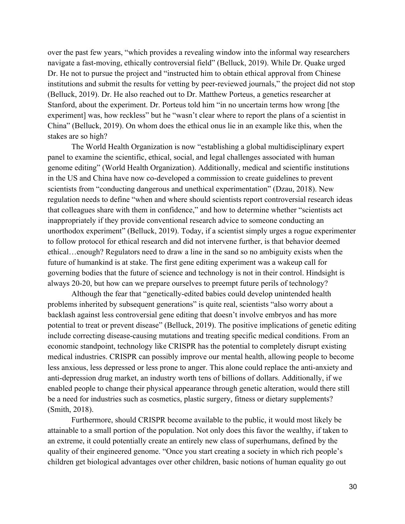over the past few years, "which provides a revealing window into the informal way researchers navigate a fast-moving, ethically controversial field" (Belluck, 2019). While Dr. Quake urged Dr. He not to pursue the project and "instructed him to obtain ethical approval from Chinese institutions and submit the results for vetting by peer-reviewed journals," the project did not stop (Belluck, 2019). Dr. He also reached out to Dr. Matthew Porteus, a genetics researcher at Stanford, about the experiment. Dr. Porteus told him "in no uncertain terms how wrong [the experiment] was, how reckless" but he "wasn't clear where to report the plans of a scientist in China" (Belluck, 2019). On whom does the ethical onus lie in an example like this, when the stakes are so high?

The World Health Organization is now "establishing a global multidisciplinary expert panel to examine the scientific, ethical, social, and legal challenges associated with human genome editing" (World Health Organization). Additionally, medical and scientific institutions in the US and China have now co-developed a commission to create guidelines to prevent scientists from "conducting dangerous and unethical experimentation" (Dzau, 2018). New regulation needs to define "when and where should scientists report controversial research ideas that colleagues share with them in confidence," and how to determine whether "scientists act inappropriately if they provide conventional research advice to someone conducting an unorthodox experiment" (Belluck, 2019). Today, if a scientist simply urges a rogue experimenter to follow protocol for ethical research and did not intervene further, is that behavior deemed ethical…enough? Regulators need to draw a line in the sand so no ambiguity exists when the future of humankind is at stake. The first gene editing experiment was a wakeup call for governing bodies that the future of science and technology is not in their control. Hindsight is always 20-20, but how can we prepare ourselves to preempt future perils of technology?

Although the fear that "genetically-edited babies could develop unintended health problems inherited by subsequent generations" is quite real, scientists "also worry about a backlash against less controversial gene editing that doesn't involve embryos and has more potential to treat or prevent disease" (Belluck, 2019). The positive implications of genetic editing include correcting disease-causing mutations and treating specific medical conditions. From an economic standpoint, technology like CRISPR has the potential to completely disrupt existing medical industries. CRISPR can possibly improve our mental health, allowing people to become less anxious, less depressed or less prone to anger. This alone could replace the anti-anxiety and anti-depression drug market, an industry worth tens of billions of dollars. Additionally, if we enabled people to change their physical appearance through genetic alteration, would there still be a need for industries such as cosmetics, plastic surgery, fitness or dietary supplements? (Smith, 2018).

Furthermore, should CRISPR become available to the public, it would most likely be attainable to a small portion of the population. Not only does this favor the wealthy, if taken to an extreme, it could potentially create an entirely new class of superhumans, defined by the quality of their engineered genome. "Once you start creating a society in which rich people's children get biological advantages over other children, basic notions of human equality go out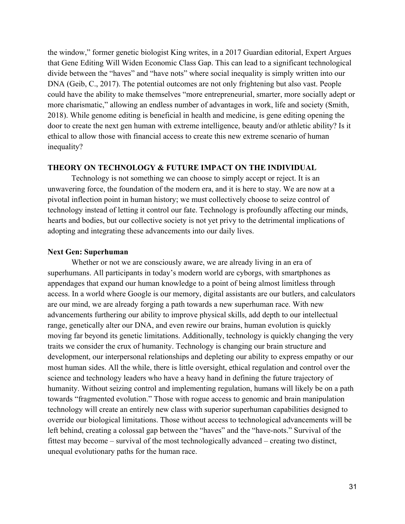the window," former genetic biologist King writes, in a 2017 Guardian editorial, Expert Argues that Gene Editing Will Widen Economic Class Gap. This can lead to a significant technological divide between the "haves" and "have nots" where social inequality is simply written into our DNA (Geib, C., 2017). The potential outcomes are not only frightening but also vast. People could have the ability to make themselves "more entrepreneurial, smarter, more socially adept or more charismatic," allowing an endless number of advantages in work, life and society (Smith, 2018). While genome editing is beneficial in health and medicine, is gene editing opening the door to create the next gen human with extreme intelligence, beauty and/or athletic ability? Is it ethical to allow those with financial access to create this new extreme scenario of human inequality?

## **THEORY ON TECHNOLOGY & FUTURE IMPACT ON THE INDIVIDUAL**

Technology is not something we can choose to simply accept or reject. It is an unwavering force, the foundation of the modern era, and it is here to stay. We are now at a pivotal inflection point in human history; we must collectively choose to seize control of technology instead of letting it control our fate. Technology is profoundly affecting our minds, hearts and bodies, but our collective society is not yet privy to the detrimental implications of adopting and integrating these advancements into our daily lives.

#### **Next Gen: Superhuman**

Whether or not we are consciously aware, we are already living in an era of superhumans. All participants in today's modern world are cyborgs, with smartphones as appendages that expand our human knowledge to a point of being almost limitless through access. In a world where Google is our memory, digital assistants are our butlers, and calculators are our mind, we are already forging a path towards a new superhuman race. With new advancements furthering our ability to improve physical skills, add depth to our intellectual range, genetically alter our DNA, and even rewire our brains, human evolution is quickly moving far beyond its genetic limitations. Additionally, technology is quickly changing the very traits we consider the crux of humanity. Technology is changing our brain structure and development, our interpersonal relationships and depleting our ability to express empathy or our most human sides. All the while, there is little oversight, ethical regulation and control over the science and technology leaders who have a heavy hand in defining the future trajectory of humanity. Without seizing control and implementing regulation, humans will likely be on a path towards "fragmented evolution." Those with rogue access to genomic and brain manipulation technology will create an entirely new class with superior superhuman capabilities designed to override our biological limitations. Those without access to technological advancements will be left behind, creating a colossal gap between the "haves" and the "have-nots." Survival of the fittest may become – survival of the most technologically advanced – creating two distinct, unequal evolutionary paths for the human race.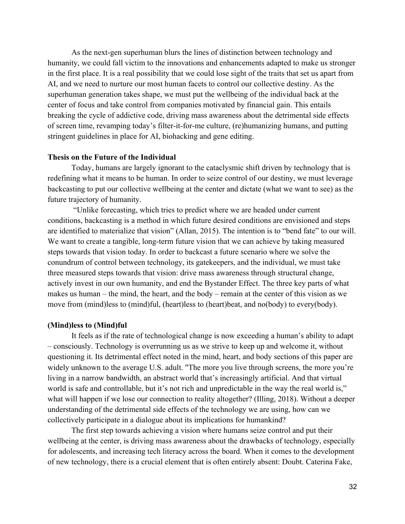As the next-gen superhuman blurs the lines of distinction between technology and humanity, we could fall victim to the innovations and enhancements adapted to make us stronger in the first place. It is a real possibility that we could lose sight of the traits that set us apart from AI, and we need to nurture our most human facets to control our collective destiny. As the superhuman generation takes shape, we must put the wellbeing of the individual back at the center of focus and take control from companies motivated by financial gain. This entails breaking the cycle of addictive code, driving mass awareness about the detrimental side effects of screen time, revamping today's filter-it-for-me culture, (re)humanizing humans, and putting stringent guidelines in place for AI, biohacking and gene editing.

## **Thesis on the Future of the Individual**

Today, humans are largely ignorant to the cataclysmic shift driven by technology that is redefining what it means to be human. In order to seize control of our destiny, we must leverage backcasting to put our collective wellbeing at the center and dictate (what we want to see) as the future trajectory of humanity.

"Unlike forecasting, which tries to predict where we are headed under current conditions, backcasting is a method in which future desired conditions are envisioned and steps are identified to materialize that vision" (Allan, 2015). The intention is to "bend fate" to our will. We want to create a tangible, long-term future vision that we can achieve by taking measured steps towards that vision today. In order to backcast a future scenario where we solve the conundrum of control between technology, its gatekeepers, and the individual, we must take three measured steps towards that vision: drive mass awareness through structural change, actively invest in our own humanity, and end the Bystander Effect. The three key parts of what makes us human – the mind, the heart, and the body – remain at the center of this vision as we move from (mind)less to (mind)ful, (heart)less to (heart)beat, and no(body) to every(body).

#### **(Mind)less to (Mind)ful**

It feels as if the rate of technological change is now exceeding a human's ability to adapt – consciously. Technology is overrunning us as we strive to keep up and welcome it, without questioning it. Its detrimental effect noted in the mind, heart, and body sections of this paper are widely unknown to the average U.S. adult. "The more you live through screens, the more you're living in a narrow bandwidth, an abstract world that's increasingly artificial. And that virtual world is safe and controllable, but it's not rich and unpredictable in the way the real world is," what will happen if we lose our connection to reality altogether? (Illing, 2018). Without a deeper understanding of the detrimental side effects of the technology we are using, how can we collectively participate in a dialogue about its implications for humankind?

The first step towards achieving a vision where humans seize control and put their wellbeing at the center, is driving mass awareness about the drawbacks of technology, especially for adolescents, and increasing tech literacy across the board. When it comes to the development of new technology, there is a crucial element that is often entirely absent: Doubt. Caterina Fake,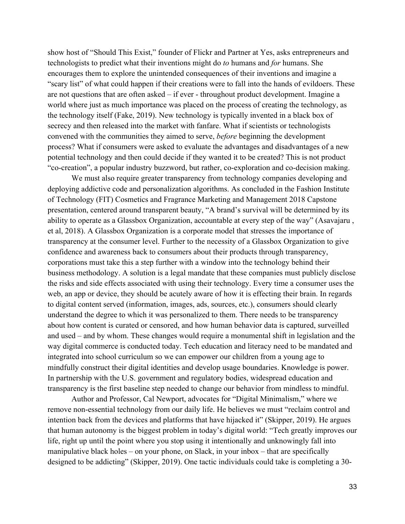show host of "Should This Exist," founder of Flickr and Partner at Yes, asks entrepreneurs and technologists to predict what their inventions might do *to* humans and *for* humans. She encourages them to explore the unintended consequences of their inventions and imagine a "scary list" of what could happen if their creations were to fall into the hands of evildoers. These are not questions that are often asked – if ever - throughout product development. Imagine a world where just as much importance was placed on the process of creating the technology, as the technology itself (Fake, 2019). New technology is typically invented in a black box of secrecy and then released into the market with fanfare. What if scientists or technologists convened with the communities they aimed to serve, *before* beginning the development process? What if consumers were asked to evaluate the advantages and disadvantages of a new potential technology and then could decide if they wanted it to be created? This is not product "co-creation", a popular industry buzzword, but rather, co-exploration and co-decision making.

We must also require greater transparency from technology companies developing and deploying addictive code and personalization algorithms. As concluded in the Fashion Institute of Technology (FIT) Cosmetics and Fragrance Marketing and Management 2018 Capstone presentation, centered around transparent beauty, "A brand's survival will be determined by its ability to operate as a Glassbox Organization, accountable at every step of the way" (Asavajaru , et al, 2018). A Glassbox Organization is a corporate model that stresses the importance of transparency at the consumer level. Further to the necessity of a Glassbox Organization to give confidence and awareness back to consumers about their products through transparency, corporations must take this a step further with a window into the technology behind their business methodology. A solution is a legal mandate that these companies must publicly disclose the risks and side effects associated with using their technology. Every time a consumer uses the web, an app or device, they should be acutely aware of how it is effecting their brain. In regards to digital content served (information, images, ads, sources, etc.), consumers should clearly understand the degree to which it was personalized to them. There needs to be transparency about how content is curated or censored, and how human behavior data is captured, surveilled and used – and by whom. These changes would require a monumental shift in legislation and the way digital commerce is conducted today. Tech education and literacy need to be mandated and integrated into school curriculum so we can empower our children from a young age to mindfully construct their digital identities and develop usage boundaries. Knowledge is power. In partnership with the U.S. government and regulatory bodies, widespread education and transparency is the first baseline step needed to change our behavior from mindless to mindful.

Author and Professor, Cal Newport, advocates for "Digital Minimalism," where we remove non-essential technology from our daily life. He believes we must "reclaim control and intention back from the devices and platforms that have hijacked it" (Skipper, 2019). He argues that human autonomy is the biggest problem in today's digital world: "Tech greatly improves our life, right up until the point where you stop using it intentionally and unknowingly fall into manipulative black holes – on your phone, on Slack, in your inbox – that are specifically designed to be addicting" (Skipper, 2019). One tactic individuals could take is completing a 30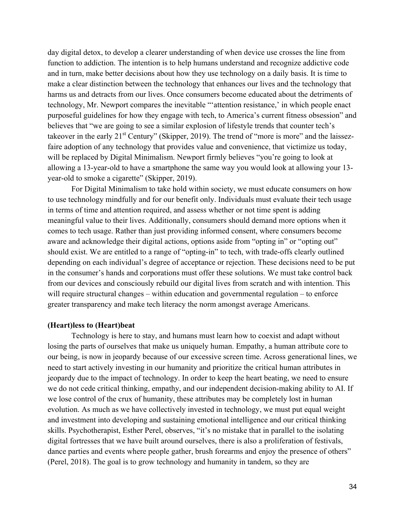day digital detox, to develop a clearer understanding of when device use crosses the line from function to addiction. The intention is to help humans understand and recognize addictive code and in turn, make better decisions about how they use technology on a daily basis. It is time to make a clear distinction between the technology that enhances our lives and the technology that harms us and detracts from our lives. Once consumers become educated about the detriments of technology, Mr. Newport compares the inevitable "'attention resistance,' in which people enact purposeful guidelines for how they engage with tech, to America's current fitness obsession" and believes that "we are going to see a similar explosion of lifestyle trends that counter tech's takeover in the early  $21<sup>st</sup>$  Century" (Skipper, 2019). The trend of "more is more" and the laissezfaire adoption of any technology that provides value and convenience, that victimize us today, will be replaced by Digital Minimalism. Newport firmly believes "you're going to look at allowing a 13-year-old to have a smartphone the same way you would look at allowing your 13 year-old to smoke a cigarette" (Skipper, 2019).

For Digital Minimalism to take hold within society, we must educate consumers on how to use technology mindfully and for our benefit only. Individuals must evaluate their tech usage in terms of time and attention required, and assess whether or not time spent is adding meaningful value to their lives. Additionally, consumers should demand more options when it comes to tech usage. Rather than just providing informed consent, where consumers become aware and acknowledge their digital actions, options aside from "opting in" or "opting out" should exist. We are entitled to a range of "opting-in" to tech, with trade-offs clearly outlined depending on each individual's degree of acceptance or rejection. These decisions need to be put in the consumer's hands and corporations must offer these solutions. We must take control back from our devices and consciously rebuild our digital lives from scratch and with intention. This will require structural changes – within education and governmental regulation – to enforce greater transparency and make tech literacy the norm amongst average Americans.

## **(Heart)less to (Heart)beat**

Technology is here to stay, and humans must learn how to coexist and adapt without losing the parts of ourselves that make us uniquely human. Empathy, a human attribute core to our being, is now in jeopardy because of our excessive screen time. Across generational lines, we need to start actively investing in our humanity and prioritize the critical human attributes in jeopardy due to the impact of technology. In order to keep the heart beating, we need to ensure we do not cede critical thinking, empathy, and our independent decision-making ability to AI. If we lose control of the crux of humanity, these attributes may be completely lost in human evolution. As much as we have collectively invested in technology, we must put equal weight and investment into developing and sustaining emotional intelligence and our critical thinking skills. Psychotherapist, Esther Perel, observes, "it's no mistake that in parallel to the isolating digital fortresses that we have built around ourselves, there is also a proliferation of festivals, dance parties and events where people gather, brush forearms and enjoy the presence of others" (Perel, 2018). The goal is to grow technology and humanity in tandem, so they are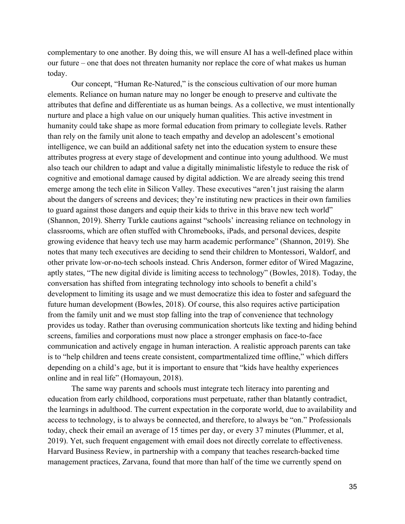complementary to one another. By doing this, we will ensure AI has a well-defined place within our future – one that does not threaten humanity nor replace the core of what makes us human today.

Our concept, "Human Re-Natured," is the conscious cultivation of our more human elements. Reliance on human nature may no longer be enough to preserve and cultivate the attributes that define and differentiate us as human beings. As a collective, we must intentionally nurture and place a high value on our uniquely human qualities. This active investment in humanity could take shape as more formal education from primary to collegiate levels. Rather than rely on the family unit alone to teach empathy and develop an adolescent's emotional intelligence, we can build an additional safety net into the education system to ensure these attributes progress at every stage of development and continue into young adulthood. We must also teach our children to adapt and value a digitally minimalistic lifestyle to reduce the risk of cognitive and emotional damage caused by digital addiction. We are already seeing this trend emerge among the tech elite in Silicon Valley. These executives "aren't just raising the alarm about the dangers of screens and devices; they're instituting new practices in their own families to guard against those dangers and equip their kids to thrive in this brave new tech world" (Shannon, 2019). Sherry Turkle cautions against "schools' increasing reliance on technology in classrooms, which are often stuffed with Chromebooks, iPads, and personal devices, despite growing evidence that heavy tech use may harm academic performance" (Shannon, 2019). She notes that many tech executives are deciding to send their children to Montessori, Waldorf, and other private low-or-no-tech schools instead. Chris Anderson, former editor of Wired Magazine, aptly states, "The new digital divide is limiting access to technology" (Bowles, 2018). Today, the conversation has shifted from integrating technology into schools to benefit a child's development to limiting its usage and we must democratize this idea to foster and safeguard the future human development (Bowles, 2018). Of course, this also requires active participation from the family unit and we must stop falling into the trap of convenience that technology provides us today. Rather than overusing communication shortcuts like texting and hiding behind screens, families and corporations must now place a stronger emphasis on face-to-face communication and actively engage in human interaction. A realistic approach parents can take is to "help children and teens create consistent, compartmentalized time offline," which differs depending on a child's age, but it is important to ensure that "kids have healthy experiences online and in real life" (Homayoun, 2018).

The same way parents and schools must integrate tech literacy into parenting and education from early childhood, corporations must perpetuate, rather than blatantly contradict, the learnings in adulthood. The current expectation in the corporate world, due to availability and access to technology, is to always be connected, and therefore, to always be "on." Professionals today, check their email an average of 15 times per day, or every 37 minutes (Plummer, et al, 2019). Yet, such frequent engagement with email does not directly correlate to effectiveness. Harvard Business Review, in partnership with a company that teaches research-backed time management practices, Zarvana, found that more than half of the time we currently spend on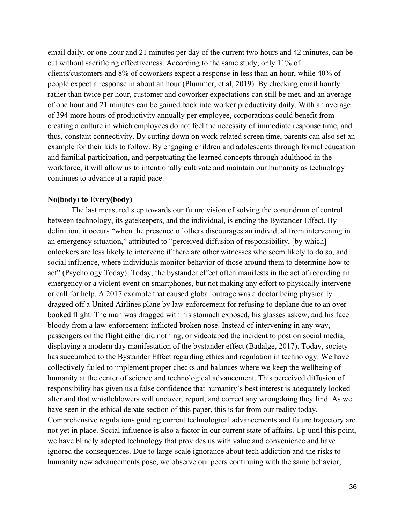email daily, or one hour and 21 minutes per day of the current two hours and 42 minutes, can be cut without sacrificing effectiveness. According to the same study, only 11% of clients/customers and 8% of coworkers expect a response in less than an hour, while 40% of people expect a response in about an hour (Plummer, et al, 2019). By checking email hourly rather than twice per hour, customer and coworker expectations can still be met, and an average of one hour and 21 minutes can be gained back into worker productivity daily. With an average of 394 more hours of productivity annually per employee, corporations could benefit from creating a culture in which employees do not feel the necessity of immediate response time, and thus, constant connectivity. By cutting down on work-related screen time, parents can also set an example for their kids to follow. By engaging children and adolescents through formal education and familial participation, and perpetuating the learned concepts through adulthood in the workforce, it will allow us to intentionally cultivate and maintain our humanity as technology continues to advance at a rapid pace.

## **No(body) to Every(body)**

The last measured step towards our future vision of solving the conundrum of control between technology, its gatekeepers, and the individual, is ending the Bystander Effect. By definition, it occurs "when the presence of others discourages an individual from intervening in an emergency situation," attributed to "perceived diffusion of responsibility, [by which] onlookers are less likely to intervene if there are other witnesses who seem likely to do so, and social influence, where individuals monitor behavior of those around them to determine how to act" (Psychology Today). Today, the bystander effect often manifests in the act of recording an emergency or a violent event on smartphones, but not making any effort to physically intervene or call for help. A 2017 example that caused global outrage was a doctor being physically dragged off a United Airlines plane by law enforcement for refusing to deplane due to an overbooked flight. The man was dragged with his stomach exposed, his glasses askew, and his face bloody from a law-enforcement-inflicted broken nose. Instead of intervening in any way, passengers on the flight either did nothing, or videotaped the incident to post on social media, displaying a modern day manifestation of the bystander effect (Badalge, 2017). Today, society has succumbed to the Bystander Effect regarding ethics and regulation in technology. We have collectively failed to implement proper checks and balances where we keep the wellbeing of humanity at the center of science and technological advancement. This perceived diffusion of responsibility has given us a false confidence that humanity's best interest is adequately looked after and that whistleblowers will uncover, report, and correct any wrongdoing they find. As we have seen in the ethical debate section of this paper, this is far from our reality today. Comprehensive regulations guiding current technological advancements and future trajectory are not yet in place. Social influence is also a factor in our current state of affairs. Up until this point, we have blindly adopted technology that provides us with value and convenience and have ignored the consequences. Due to large-scale ignorance about tech addiction and the risks to humanity new advancements pose, we observe our peers continuing with the same behavior,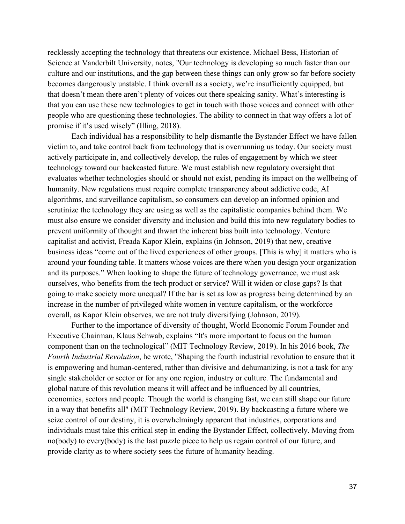recklessly accepting the technology that threatens our existence. Michael Bess, Historian of Science at Vanderbilt University, notes, "Our technology is developing so much faster than our culture and our institutions, and the gap between these things can only grow so far before society becomes dangerously unstable. I think overall as a society, we're insufficiently equipped, but that doesn't mean there aren't plenty of voices out there speaking sanity. What's interesting is that you can use these new technologies to get in touch with those voices and connect with other people who are questioning these technologies. The ability to connect in that way offers a lot of promise if it's used wisely" (Illing, 2018).

Each individual has a responsibility to help dismantle the Bystander Effect we have fallen victim to, and take control back from technology that is overrunning us today. Our society must actively participate in, and collectively develop, the rules of engagement by which we steer technology toward our backcasted future. We must establish new regulatory oversight that evaluates whether technologies should or should not exist, pending its impact on the wellbeing of humanity. New regulations must require complete transparency about addictive code, AI algorithms, and surveillance capitalism, so consumers can develop an informed opinion and scrutinize the technology they are using as well as the capitalistic companies behind them. We must also ensure we consider diversity and inclusion and build this into new regulatory bodies to prevent uniformity of thought and thwart the inherent bias built into technology. Venture capitalist and activist, Freada Kapor Klein, explains (in Johnson, 2019) that new, creative business ideas "come out of the lived experiences of other groups. [This is why] it matters who is around your founding table. It matters whose voices are there when you design your organization and its purposes." When looking to shape the future of technology governance, we must ask ourselves, who benefits from the tech product or service? Will it widen or close gaps? Is that going to make society more unequal? If the bar is set as low as progress being determined by an increase in the number of privileged white women in venture capitalism, or the workforce overall, as Kapor Klein observes, we are not truly diversifying (Johnson, 2019).

Further to the importance of diversity of thought, World Economic Forum Founder and Executive Chairman, Klaus Schwab, explains "It's more important to focus on the human component than on the technological" (MIT Technology Review, 2019). In his 2016 book, *The Fourth Industrial Revolution*, he wrote, "Shaping the fourth industrial revolution to ensure that it is empowering and human-centered, rather than divisive and dehumanizing, is not a task for any single stakeholder or sector or for any one region, industry or culture. The fundamental and global nature of this revolution means it will affect and be influenced by all countries, economies, sectors and people. Though the world is changing fast, we can still shape our future in a way that benefits all" (MIT Technology Review, 2019). By backcasting a future where we seize control of our destiny, it is overwhelmingly apparent that industries, corporations and individuals must take this critical step in ending the Bystander Effect, collectively. Moving from no(body) to every(body) is the last puzzle piece to help us regain control of our future, and provide clarity as to where society sees the future of humanity heading.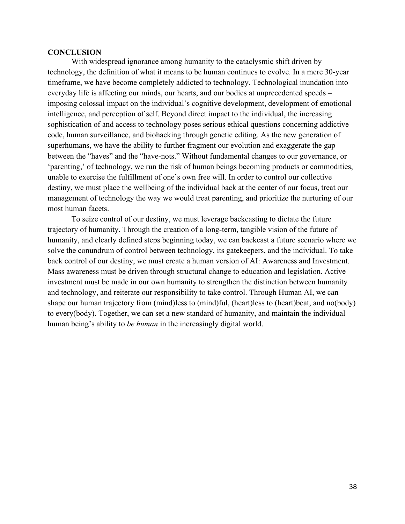#### **CONCLUSION**

With widespread ignorance among humanity to the cataclysmic shift driven by technology, the definition of what it means to be human continues to evolve. In a mere 30-year timeframe, we have become completely addicted to technology. Technological inundation into everyday life is affecting our minds, our hearts, and our bodies at unprecedented speeds – imposing colossal impact on the individual's cognitive development, development of emotional intelligence, and perception of self. Beyond direct impact to the individual, the increasing sophistication of and access to technology poses serious ethical questions concerning addictive code, human surveillance, and biohacking through genetic editing. As the new generation of superhumans, we have the ability to further fragment our evolution and exaggerate the gap between the "haves" and the "have-nots." Without fundamental changes to our governance, or 'parenting,' of technology, we run the risk of human beings becoming products or commodities, unable to exercise the fulfillment of one's own free will. In order to control our collective destiny, we must place the wellbeing of the individual back at the center of our focus, treat our management of technology the way we would treat parenting, and prioritize the nurturing of our most human facets.

To seize control of our destiny, we must leverage backcasting to dictate the future trajectory of humanity. Through the creation of a long-term, tangible vision of the future of humanity, and clearly defined steps beginning today, we can backcast a future scenario where we solve the conundrum of control between technology, its gatekeepers, and the individual. To take back control of our destiny, we must create a human version of AI: Awareness and Investment. Mass awareness must be driven through structural change to education and legislation. Active investment must be made in our own humanity to strengthen the distinction between humanity and technology, and reiterate our responsibility to take control. Through Human AI, we can shape our human trajectory from (mind)less to (mind)ful, (heart)less to (heart)beat, and no(body) to every(body). Together, we can set a new standard of humanity, and maintain the individual human being's ability to *be human* in the increasingly digital world.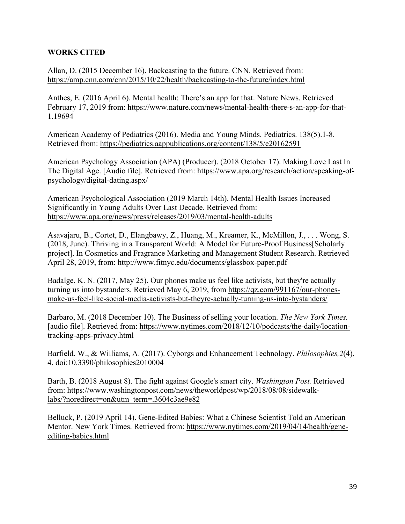## **WORKS CITED**

Allan, D. (2015 December 16). Backcasting to the future. CNN. Retrieved from: https://amp.cnn.com/cnn/2015/10/22/health/backcasting-to-the-future/index.html

Anthes, E. (2016 April 6). Mental health: There's an app for that. Nature News. Retrieved February 17, 2019 from: https://www.nature.com/news/mental-health-there-s-an-app-for-that-1.19694

American Academy of Pediatrics (2016). Media and Young Minds. Pediatrics. 138(5).1-8. Retrieved from: https://pediatrics.aappublications.org/content/138/5/e20162591

American Psychology Association (APA) (Producer). (2018 October 17). Making Love Last In The Digital Age. [Audio file]. Retrieved from: https://www.apa.org/research/action/speaking-ofpsychology/digital-dating.aspx/

American Psychological Association (2019 March 14th). Mental Health Issues Increased Significantly in Young Adults Over Last Decade. Retrieved from: https://www.apa.org/news/press/releases/2019/03/mental-health-adults

Asavajaru, B., Cortet, D., Elangbawy, Z., Huang, M., Kreamer, K., McMillon, J., . . . Wong, S. (2018, June). Thriving in a Transparent World: A Model for Future-Proof Business[Scholarly project]. In Cosmetics and Fragrance Marketing and Management Student Research. Retrieved April 28, 2019, from: http://www.fitnyc.edu/documents/glassbox-paper.pdf

Badalge, K. N. (2017, May 25). Our phones make us feel like activists, but they're actually turning us into bystanders. Retrieved May 6, 2019, from https://qz.com/991167/our-phonesmake-us-feel-like-social-media-activists-but-theyre-actually-turning-us-into-bystanders/

Barbaro, M. (2018 December 10). The Business of selling your location. *The New York Times.*  [audio file]. Retrieved from: https://www.nytimes.com/2018/12/10/podcasts/the-daily/locationtracking-apps-privacy.html

Barfield, W., & Williams, A. (2017). Cyborgs and Enhancement Technology. *Philosophies,2*(4), 4. doi:10.3390/philosophies2010004

Barth, B. (2018 August 8). The fight against Google's smart city. *Washington Post.* Retrieved from: https://www.washingtonpost.com/news/theworldpost/wp/2018/08/08/sidewalklabs/?noredirect=on&utm\_term=.3604c3ae9e82

Belluck, P. (2019 April 14). Gene-Edited Babies: What a Chinese Scientist Told an American Mentor. New York Times. Retrieved from: https://www.nytimes.com/2019/04/14/health/geneediting-babies.html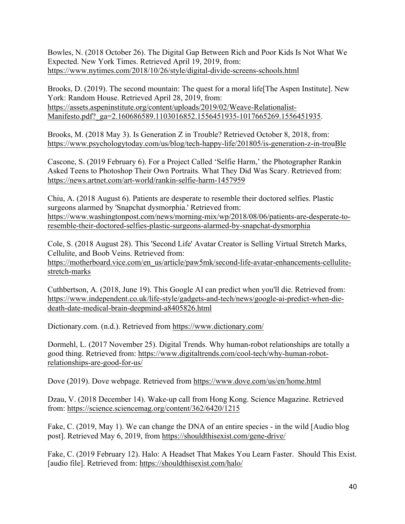Bowles, N. (2018 October 26). The Digital Gap Between Rich and Poor Kids Is Not What We Expected. New York Times. Retrieved April 19, 2019, from: https://www.nytimes.com/2018/10/26/style/digital-divide-screens-schools.html

Brooks, D. (2019). The second mountain: The quest for a moral life[The Aspen Institute]. New York: Random House. Retrieved April 28, 2019, from: https://assets.aspeninstitute.org/content/uploads/2019/02/Weave-Relationalist-Manifesto.pdf?\_ga=2.160686589.1103016852.1556451935-1017665269.1556451935.

Brooks, M. (2018 May 3). Is Generation Z in Trouble? Retrieved October 8, 2018, from: https://www.psychologytoday.com/us/blog/tech-happy-life/201805/is-generation-z-in-trouBle

Cascone, S. (2019 February 6). For a Project Called 'Selfie Harm,' the Photographer Rankin Asked Teens to Photoshop Their Own Portraits. What They Did Was Scary. Retrieved from: https://news.artnet.com/art-world/rankin-selfie-harm-1457959

Chiu, A. (2018 August 6). Patients are desperate to resemble their doctored selfies. Plastic surgeons alarmed by 'Snapchat dysmorphia.' Retrieved from: https://www.washingtonpost.com/news/morning-mix/wp/2018/08/06/patients-are-desperate-toresemble-their-doctored-selfies-plastic-surgeons-alarmed-by-snapchat-dysmorphia

Cole, S. (2018 August 28). This 'Second Life' Avatar Creator is Selling Virtual Stretch Marks, Cellulite, and Boob Veins. Retrieved from: https://motherboard.vice.com/en\_us/article/paw5mk/second-life-avatar-enhancements-cellulitestretch-marks

Cuthbertson, A. (2018, June 19). This Google AI can predict when you'll die. Retrieved from: https://www.independent.co.uk/life-style/gadgets-and-tech/news/google-ai-predict-when-diedeath-date-medical-brain-deepmind-a8405826.html

Dictionary.com. (n.d.). Retrieved from https://www.dictionary.com/

Dormehl, L. (2017 November 25). Digital Trends. Why human-robot relationships are totally a good thing. Retrieved from: https://www.digitaltrends.com/cool-tech/why-human-robotrelationships-are-good-for-us/

Dove (2019). Dove webpage. Retrieved from https://www.dove.com/us/en/home.html

Dzau, V. (2018 December 14). Wake-up call from Hong Kong. Science Magazine. Retrieved from: https://science.sciencemag.org/content/362/6420/1215

Fake, C. (2019, May 1). We can change the DNA of an entire species - in the wild [Audio blog post]. Retrieved May 6, 2019, from https://shouldthisexist.com/gene-drive/

Fake, C. (2019 February 12). Halo: A Headset That Makes You Learn Faster. Should This Exist. [audio file]. Retrieved from: https://shouldthisexist.com/halo/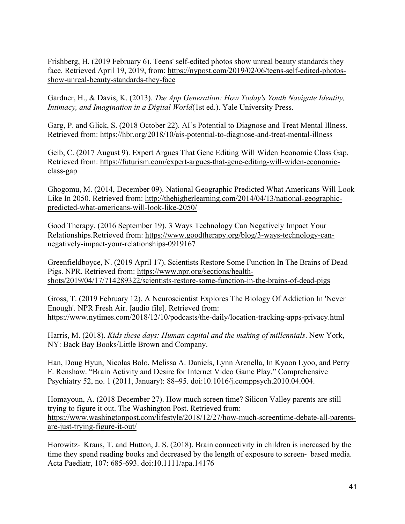Frishberg, H. (2019 February 6). Teens' self-edited photos show unreal beauty standards they face. Retrieved April 19, 2019, from: https://nypost.com/2019/02/06/teens-self-edited-photosshow-unreal-beauty-standards-they-face

Gardner, H., & Davis, K. (2013). *The App Generation: How Today's Youth Navigate Identity, Intimacy, and Imagination in a Digital World*(1st ed.). Yale University Press.

Garg, P. and Glick, S. (2018 October 22). AI's Potential to Diagnose and Treat Mental Illness. Retrieved from: https://hbr.org/2018/10/ais-potential-to-diagnose-and-treat-mental-illness

Geib, C. (2017 August 9). Expert Argues That Gene Editing Will Widen Economic Class Gap. Retrieved from: https://futurism.com/expert-argues-that-gene-editing-will-widen-economicclass-gap

Ghogomu, M. (2014, December 09). National Geographic Predicted What Americans Will Look Like In 2050. Retrieved from: http://thehigherlearning.com/2014/04/13/national-geographicpredicted-what-americans-will-look-like-2050/

Good Therapy. (2016 September 19). 3 Ways Technology Can Negatively Impact Your Relationships.Retrieved from: https://www.goodtherapy.org/blog/3-ways-technology-cannegatively-impact-your-relationships-0919167

Greenfieldboyce, N. (2019 April 17). Scientists Restore Some Function In The Brains of Dead Pigs. NPR. Retrieved from: https://www.npr.org/sections/healthshots/2019/04/17/714289322/scientists-restore-some-function-in-the-brains-of-dead-pigs

Gross, T. (2019 February 12). A Neuroscientist Explores The Biology Of Addiction In 'Never Enough'. NPR Fresh Air. [audio file]. Retrieved from: https://www.nytimes.com/2018/12/10/podcasts/the-daily/location-tracking-apps-privacy.html

Harris, M. (2018). *Kids these days: Human capital and the making of millennials*. New York, NY: Back Bay Books/Little Brown and Company.

Han, Doug Hyun, Nicolas Bolo, Melissa A. Daniels, Lynn Arenella, In Kyoon Lyoo, and Perry F. Renshaw. "Brain Activity and Desire for Internet Video Game Play." Comprehensive Psychiatry 52, no. 1 (2011, January): 88–95. doi:10.1016/j.comppsych.2010.04.004.

Homayoun, A. (2018 December 27). How much screen time? Silicon Valley parents are still trying to figure it out. The Washington Post. Retrieved from: https://www.washingtonpost.com/lifestyle/2018/12/27/how-much-screentime-debate-all-parentsare-just-trying-figure-it-out/

Horowitz- Kraus, T. and Hutton, J. S. (2018), Brain connectivity in children is increased by the time they spend reading books and decreased by the length of exposure to screen- based media. Acta Paediatr, 107: 685-693. doi:10.1111/apa.14176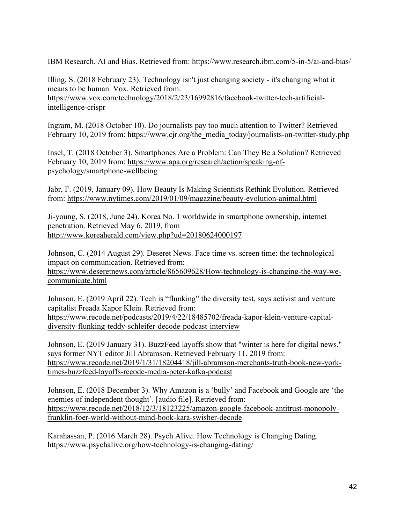IBM Research. AI and Bias. Retrieved from: https://www.research.ibm.com/5-in-5/ai-and-bias/

Illing, S. (2018 February 23). Technology isn't just changing society - it's changing what it means to be human. Vox. Retrieved from: https://www.vox.com/technology/2018/2/23/16992816/facebook-twitter-tech-artificial-

intelligence-crispr

Ingram, M. (2018 October 10). Do journalists pay too much attention to Twitter? Retrieved February 10, 2019 from: https://www.cjr.org/the\_media\_today/journalists-on-twitter-study.php

Insel, T. (2018 October 3). Smartphones Are a Problem: Can They Be a Solution? Retrieved February 10, 2019 from: https://www.apa.org/research/action/speaking-ofpsychology/smartphone-wellbeing

Jabr, F. (2019, January 09). How Beauty Is Making Scientists Rethink Evolution. Retrieved from: https://www.nytimes.com/2019/01/09/magazine/beauty-evolution-animal.html

Ji-young, S. (2018, June 24). Korea No. 1 worldwide in smartphone ownership, internet penetration. Retrieved May 6, 2019, from http://www.koreaherald.com/view.php?ud=20180624000197

Johnson, C. (2014 August 29). Deseret News. Face time vs. screen time: the technological impact on communication. Retrieved from: https://www.deseretnews.com/article/865609628/How-technology-is-changing-the-way-wecommunicate.html

Johnson, E. (2019 April 22). Tech is "flunking" the diversity test, says activist and venture

capitalist Freada Kapor Klein. Retrieved from: https://www.recode.net/podcasts/2019/4/22/18485702/freada-kapor-klein-venture-capitaldiversity-flunking-teddy-schleifer-decode-podcast-interview

Johnson, E. (2019 January 31). BuzzFeed layoffs show that "winter is here for digital news," says former NYT editor Jill Abramson. Retrieved February 11, 2019 from: https://www.recode.net/2019/1/31/18204418/jill-abramson-merchants-truth-book-new-yorktimes-buzzfeed-layoffs-recode-media-peter-kafka-podcast

Johnson, E. (2018 December 3). Why Amazon is a 'bully' and Facebook and Google are 'the enemies of independent thought'. [audio file]. Retrieved from: https://www.recode.net/2018/12/3/18123225/amazon-google-facebook-antitrust-monopolyfranklin-foer-world-without-mind-book-kara-swisher-decode

Karahassan, P. (2016 March 28). Psych Alive. How Technology is Changing Dating. https://www.psychalive.org/how-technology-is-changing-dating/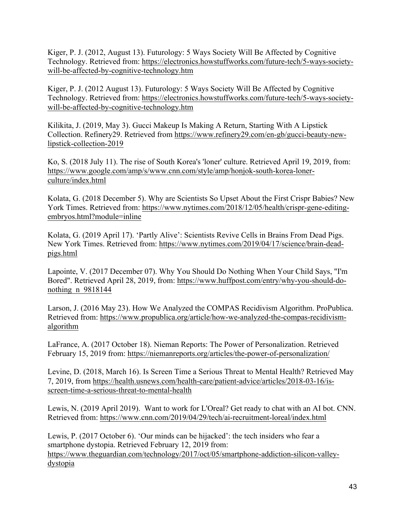Kiger, P. J. (2012, August 13). Futurology: 5 Ways Society Will Be Affected by Cognitive Technology. Retrieved from: https://electronics.howstuffworks.com/future-tech/5-ways-societywill-be-affected-by-cognitive-technology.htm

Kiger, P. J. (2012 August 13). Futurology: 5 Ways Society Will Be Affected by Cognitive Technology. Retrieved from: https://electronics.howstuffworks.com/future-tech/5-ways-societywill-be-affected-by-cognitive-technology.htm

Kilikita, J. (2019, May 3). Gucci Makeup Is Making A Return, Starting With A Lipstick Collection. Refinery29. Retrieved from https://www.refinery29.com/en-gb/gucci-beauty-newlipstick-collection-2019

Ko, S. (2018 July 11). The rise of South Korea's 'loner' culture. Retrieved April 19, 2019, from: https://www.google.com/amp/s/www.cnn.com/style/amp/honjok-south-korea-lonerculture/index.html

Kolata, G. (2018 December 5). Why are Scientists So Upset About the First Crispr Babies? New York Times. Retrieved from: https://www.nytimes.com/2018/12/05/health/crispr-gene-editingembryos.html?module=inline

Kolata, G. (2019 April 17). 'Partly Alive': Scientists Revive Cells in Brains From Dead Pigs. New York Times. Retrieved from: https://www.nytimes.com/2019/04/17/science/brain-deadpigs.html

Lapointe, V. (2017 December 07). Why You Should Do Nothing When Your Child Says, "I'm Bored". Retrieved April 28, 2019, from: https://www.huffpost.com/entry/why-you-should-donothing n 9818144

Larson, J. (2016 May 23). How We Analyzed the COMPAS Recidivism Algorithm. ProPublica. Retrieved from: https://www.propublica.org/article/how-we-analyzed-the-compas-recidivismalgorithm

LaFrance, A. (2017 October 18). Nieman Reports: The Power of Personalization. Retrieved February 15, 2019 from: https://niemanreports.org/articles/the-power-of-personalization/

Levine, D. (2018, March 16). Is Screen Time a Serious Threat to Mental Health? Retrieved May 7, 2019, from https://health.usnews.com/health-care/patient-advice/articles/2018-03-16/isscreen-time-a-serious-threat-to-mental-health

Lewis, N. (2019 April 2019). Want to work for L'Oreal? Get ready to chat with an AI bot. CNN. Retrieved from: https://www.cnn.com/2019/04/29/tech/ai-recruitment-loreal/index.html

Lewis, P. (2017 October 6). 'Our minds can be hijacked': the tech insiders who fear a smartphone dystopia. Retrieved February 12, 2019 from: https://www.theguardian.com/technology/2017/oct/05/smartphone-addiction-silicon-valleydystopia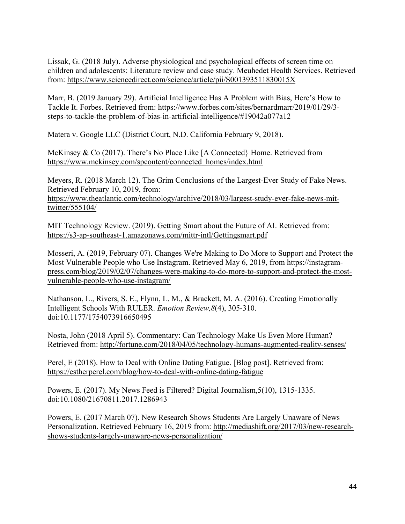Lissak, G. (2018 July). Adverse physiological and psychological effects of screen time on children and adolescents: Literature review and case study. Meuhedet Health Services. Retrieved from: https://www.sciencedirect.com/science/article/pii/S001393511830015X

Marr, B. (2019 January 29). Artificial Intelligence Has A Problem with Bias, Here's How to Tackle It. Forbes. Retrieved from: https://www.forbes.com/sites/bernardmarr/2019/01/29/3 steps-to-tackle-the-problem-of-bias-in-artificial-intelligence/#19042a077a12

Matera v. Google LLC (District Court, N.D. California February 9, 2018).

McKinsey & Co (2017). There's No Place Like [A Connected} Home. Retrieved from https://www.mckinsey.com/spcontent/connected\_homes/index.html

Meyers, R. (2018 March 12). The Grim Conclusions of the Largest-Ever Study of Fake News. Retrieved February 10, 2019, from: https://www.theatlantic.com/technology/archive/2018/03/largest-study-ever-fake-news-mittwitter/555104/

MIT Technology Review. (2019). Getting Smart about the Future of AI. Retrieved from: https://s3-ap-southeast-1.amazonaws.com/mittr-intl/Gettingsmart.pdf

Mosseri, A. (2019, February 07). Changes We're Making to Do More to Support and Protect the Most Vulnerable People who Use Instagram. Retrieved May 6, 2019, from https://instagrampress.com/blog/2019/02/07/changes-were-making-to-do-more-to-support-and-protect-the-mostvulnerable-people-who-use-instagram/

Nathanson, L., Rivers, S. E., Flynn, L. M., & Brackett, M. A. (2016). Creating Emotionally Intelligent Schools With RULER. *Emotion Review,8*(4), 305-310. doi:10.1177/1754073916650495

Nosta, John (2018 April 5). Commentary: Can Technology Make Us Even More Human? Retrieved from: http://fortune.com/2018/04/05/technology-humans-augmented-reality-senses/

Perel, E (2018). How to Deal with Online Dating Fatigue. [Blog post]. Retrieved from: https://estherperel.com/blog/how-to-deal-with-online-dating-fatigue

Powers, E. (2017). My News Feed is Filtered? Digital Journalism,5(10), 1315-1335. doi:10.1080/21670811.2017.1286943

Powers, E. (2017 March 07). New Research Shows Students Are Largely Unaware of News Personalization. Retrieved February 16, 2019 from: http://mediashift.org/2017/03/new-researchshows-students-largely-unaware-news-personalization/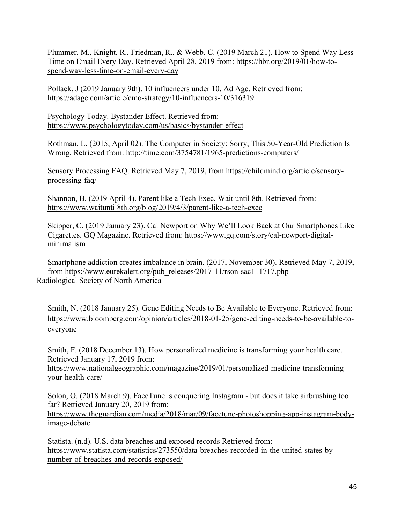Plummer, M., Knight, R., Friedman, R., & Webb, C. (2019 March 21). How to Spend Way Less Time on Email Every Day. Retrieved April 28, 2019 from: https://hbr.org/2019/01/how-tospend-way-less-time-on-email-every-day

Pollack, J (2019 January 9th). 10 influencers under 10. Ad Age. Retrieved from: https://adage.com/article/cmo-strategy/10-influencers-10/316319

Psychology Today. Bystander Effect. Retrieved from: https://www.psychologytoday.com/us/basics/bystander-effect

Rothman, L. (2015, April 02). The Computer in Society: Sorry, This 50-Year-Old Prediction Is Wrong. Retrieved from: http://time.com/3754781/1965-predictions-computers/

Sensory Processing FAQ. Retrieved May 7, 2019, from https://childmind.org/article/sensoryprocessing-faq/

Shannon, B. (2019 April 4). Parent like a Tech Exec. Wait until 8th. Retrieved from: https://www.waituntil8th.org/blog/2019/4/3/parent-like-a-tech-exec

Skipper, C. (2019 January 23). Cal Newport on Why We'll Look Back at Our Smartphones Like Cigarettes. GQ Magazine. Retrieved from: https://www.gq.com/story/cal-newport-digitalminimalism

Smartphone addiction creates imbalance in brain. (2017, November 30). Retrieved May 7, 2019, from https://www.eurekalert.org/pub\_releases/2017-11/rson-sac111717.php Radiological Society of North America

Smith, N. (2018 January 25). Gene Editing Needs to Be Available to Everyone. Retrieved from: https://www.bloomberg.com/opinion/articles/2018-01-25/gene-editing-needs-to-be-available-toeveryone

Smith, F. (2018 December 13). How personalized medicine is transforming your health care. Retrieved January 17, 2019 from:

https://www.nationalgeographic.com/magazine/2019/01/personalized-medicine-transformingyour-health-care/

Solon, O. (2018 March 9). FaceTune is conquering Instagram - but does it take airbrushing too far? Retrieved January 20, 2019 from:

https://www.theguardian.com/media/2018/mar/09/facetune-photoshopping-app-instagram-bodyimage-debate

Statista. (n.d). U.S. data breaches and exposed records Retrieved from: https://www.statista.com/statistics/273550/data-breaches-recorded-in-the-united-states-bynumber-of-breaches-and-records-exposed/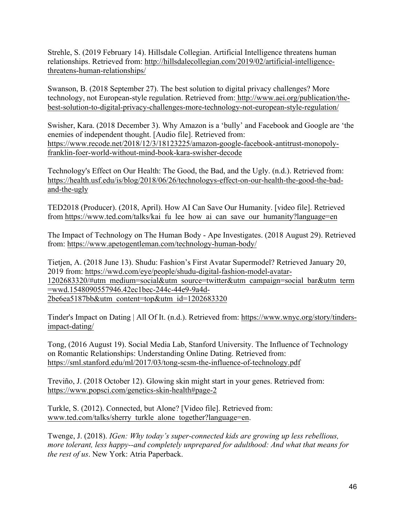Strehle, S. (2019 February 14). Hillsdale Collegian. Artificial Intelligence threatens human relationships. Retrieved from: http://hillsdalecollegian.com/2019/02/artificial-intelligencethreatens-human-relationships/

Swanson, B. (2018 September 27). The best solution to digital privacy challenges? More technology, not European-style regulation. Retrieved from: http://www.aei.org/publication/thebest-solution-to-digital-privacy-challenges-more-technology-not-european-style-regulation/

Swisher, Kara. (2018 December 3). Why Amazon is a 'bully' and Facebook and Google are 'the enemies of independent thought. [Audio file]. Retrieved from: https://www.recode.net/2018/12/3/18123225/amazon-google-facebook-antitrust-monopolyfranklin-foer-world-without-mind-book-kara-swisher-decode

Technology's Effect on Our Health: The Good, the Bad, and the Ugly. (n.d.). Retrieved from: https://health.usf.edu/is/blog/2018/06/26/technologys-effect-on-our-health-the-good-the-badand-the-ugly

TED2018 (Producer). (2018, April). How AI Can Save Our Humanity. [video file]. Retrieved from https://www.ted.com/talks/kai fu lee how ai can save our humanity?language=en

The Impact of Technology on The Human Body - Ape Investigates. (2018 August 29). Retrieved from: https://www.apetogentleman.com/technology-human-body/

Tietjen, A. (2018 June 13). Shudu: Fashion's First Avatar Supermodel? Retrieved January 20, 2019 from: https://wwd.com/eye/people/shudu-digital-fashion-model-avatar-1202683320/#utm\_medium=social&utm\_source=twitter&utm\_campaign=social\_bar&utm\_term =wwd.1548090557946.42ec1bec-244c-44e9-9a4d-2be6ea5187bb&utm\_content=top&utm\_id=1202683320

Tinder's Impact on Dating | All Of It. (n.d.). Retrieved from: https://www.wnyc.org/story/tindersimpact-dating/

Tong, (2016 August 19). Social Media Lab, Stanford University. The Influence of Technology on Romantic Relationships: Understanding Online Dating. Retrieved from: https://sml.stanford.edu/ml/2017/03/tong-scsm-the-influence-of-technology.pdf

Treviño, J. (2018 October 12). Glowing skin might start in your genes. Retrieved from: https://www.popsci.com/genetics-skin-health#page-2

Turkle, S. (2012). Connected, but Alone? [Video file]. Retrieved from: www.ted.com/talks/sherry\_turkle\_alone\_together?language=en.

Twenge, J. (2018). *IGen: Why today's super-connected kids are growing up less rebellious, more tolerant, less happy--and completely unprepared for adulthood: And what that means for the rest of us*. New York: Atria Paperback.